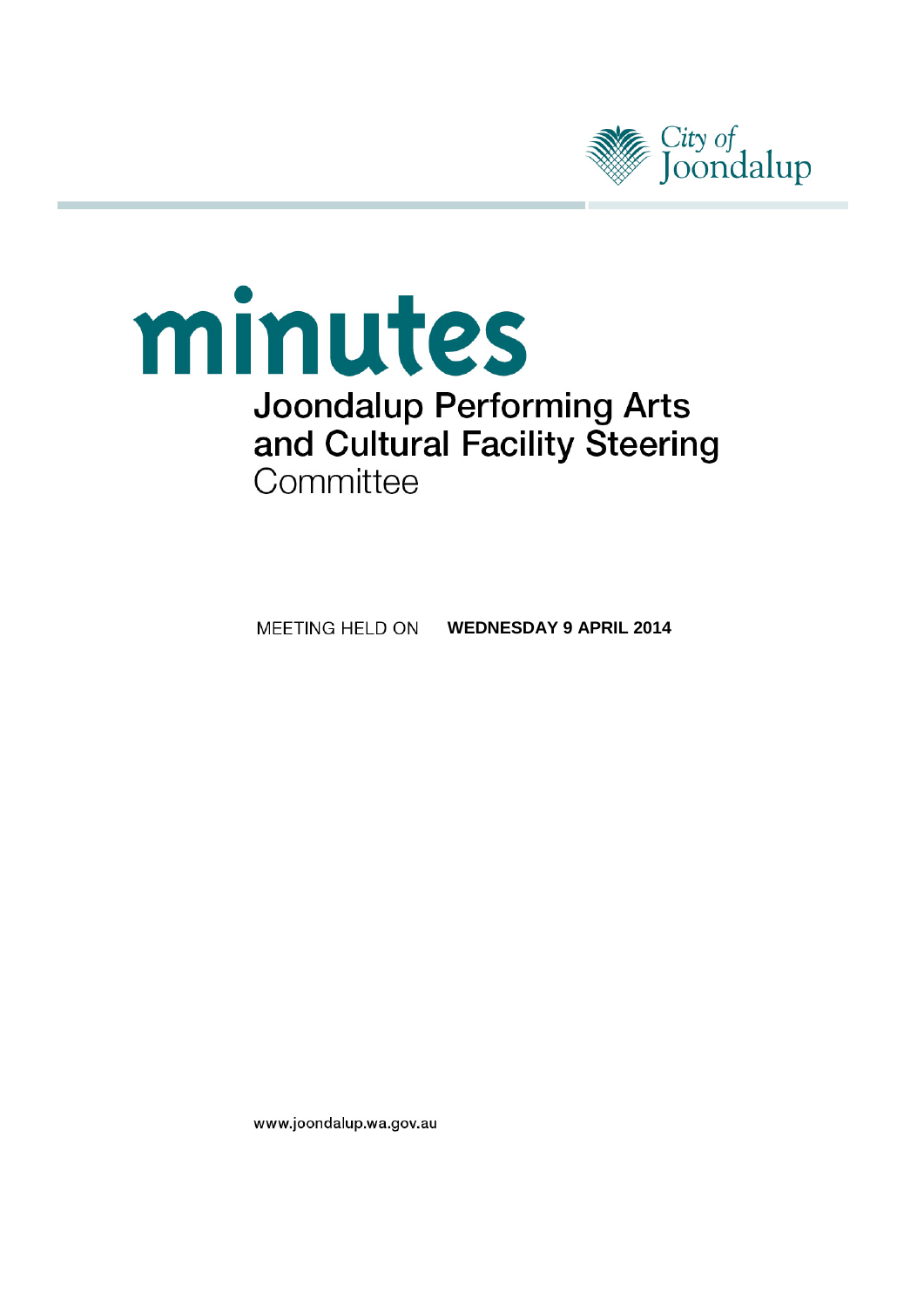

# minutes **Joondalup Performing Arts** and Cultural Facility Steering Committee

**MEETING HELD ON WEDNESDAY 9 APRIL 2014** 

www.joondalup.wa.gov.au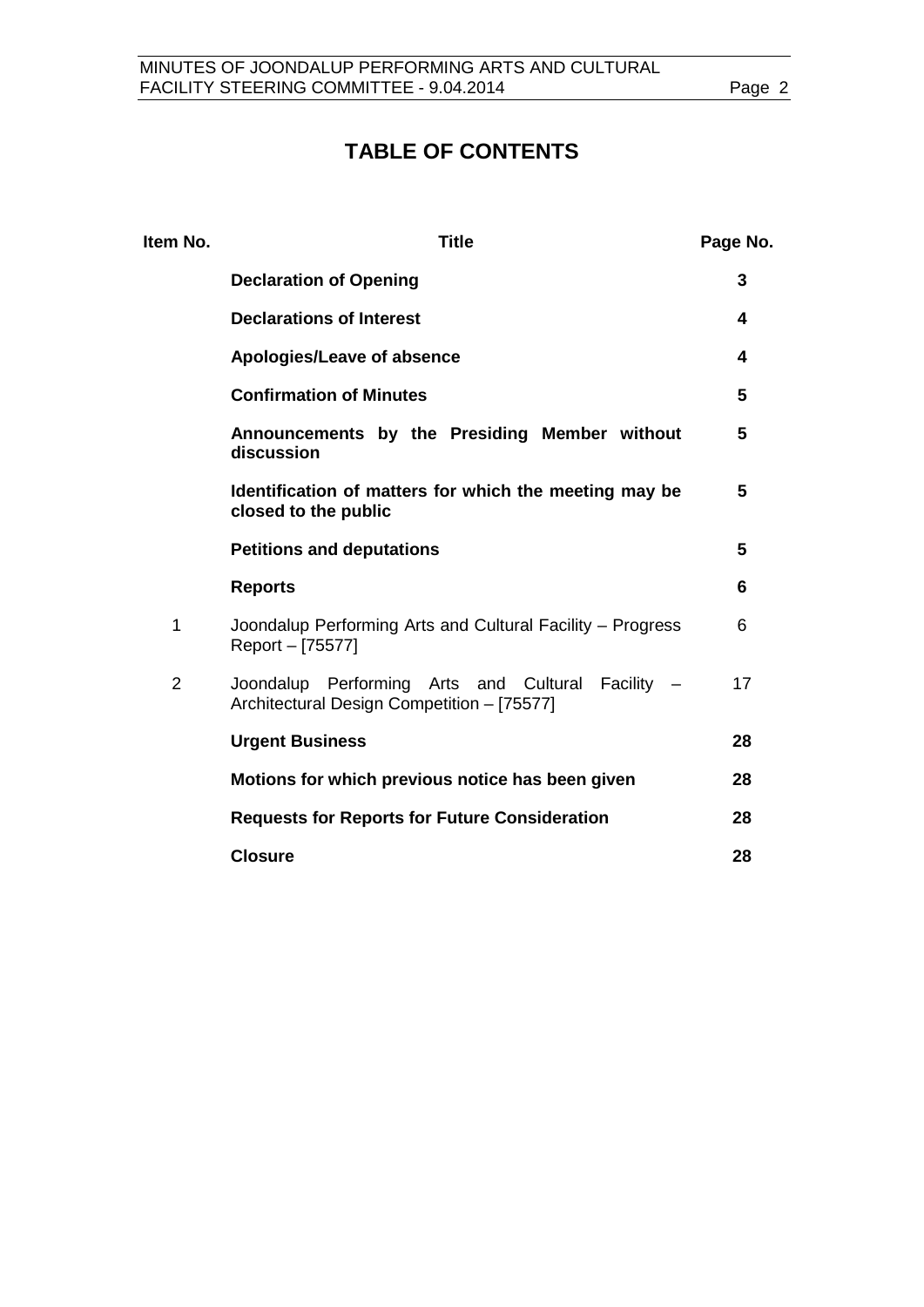# **TABLE OF CONTENTS**

| Item No.       | <b>Title</b>                                                                                    | Page No. |
|----------------|-------------------------------------------------------------------------------------------------|----------|
|                | <b>Declaration of Opening</b>                                                                   | 3        |
|                | <b>Declarations of Interest</b>                                                                 | 4        |
|                | Apologies/Leave of absence                                                                      | 4        |
|                | <b>Confirmation of Minutes</b>                                                                  | 5        |
|                | Announcements by the Presiding Member without<br>discussion                                     | 5        |
|                | Identification of matters for which the meeting may be<br>closed to the public                  | 5        |
|                | <b>Petitions and deputations</b>                                                                | 5        |
|                | <b>Reports</b>                                                                                  | 6        |
| 1              | Joondalup Performing Arts and Cultural Facility - Progress<br>Report - [75577]                  | 6        |
| $\overline{2}$ | Joondalup Performing Arts and Cultural Facility -<br>Architectural Design Competition - [75577] | 17       |
|                | <b>Urgent Business</b>                                                                          | 28       |
|                | Motions for which previous notice has been given                                                | 28       |
|                | <b>Requests for Reports for Future Consideration</b>                                            | 28       |
|                | <b>Closure</b>                                                                                  | 28       |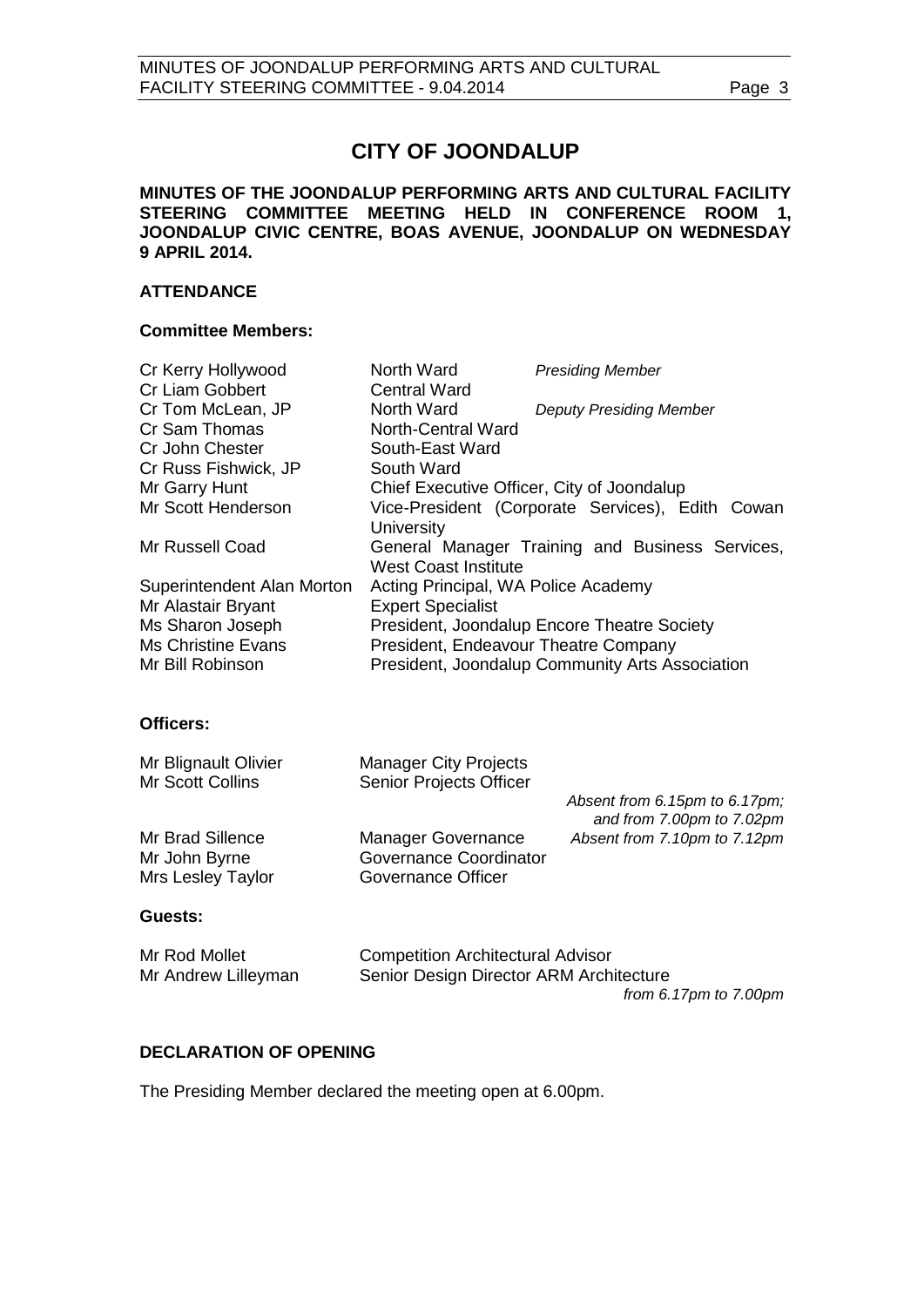# **CITY OF JOONDALUP**

**MINUTES OF THE JOONDALUP PERFORMING ARTS AND CULTURAL FACILITY STEERING COMMITTEE MEETING HELD IN CONFERENCE ROOM 1, JOONDALUP CIVIC CENTRE, BOAS AVENUE, JOONDALUP ON WEDNESDAY 9 APRIL 2014.** 

#### **ATTENDANCE**

#### **Committee Members:**

| North Ward                                 | <b>Presiding Member</b>                          |
|--------------------------------------------|--------------------------------------------------|
| <b>Central Ward</b>                        |                                                  |
| North Ward                                 | <b>Deputy Presiding Member</b>                   |
| North-Central Ward                         |                                                  |
| South-East Ward                            |                                                  |
| South Ward                                 |                                                  |
| Chief Executive Officer, City of Joondalup |                                                  |
|                                            | Vice-President (Corporate Services), Edith Cowan |
| University                                 |                                                  |
|                                            | General Manager Training and Business Services,  |
| <b>West Coast Institute</b>                |                                                  |
| Acting Principal, WA Police Academy        |                                                  |
| <b>Expert Specialist</b>                   |                                                  |
|                                            | President, Joondalup Encore Theatre Society      |
| President, Endeavour Theatre Company       |                                                  |
|                                            | President, Joondalup Community Arts Association  |
|                                            |                                                  |

#### **Officers:**

| Mr Blignault Olivier | <b>Manager City Projects</b>  |                                                            |
|----------------------|-------------------------------|------------------------------------------------------------|
| Mr Scott Collins     | Senior Projects Officer       |                                                            |
|                      |                               | Absent from 6.15pm to 6.17pm;<br>and from 7.00pm to 7.02pm |
| Mr Brad Sillence     | <b>Manager Governance</b>     | Absent from 7.10pm to 7.12pm                               |
| Mr John Byrne        | <b>Governance Coordinator</b> |                                                            |
| Mrs Lesley Taylor    | Governance Officer            |                                                            |
| Guests:              |                               |                                                            |
|                      |                               |                                                            |

| Mr Rod Mollet       | <b>Competition Architectural Advisor</b> |
|---------------------|------------------------------------------|
| Mr Andrew Lilleyman | Senior Design Director ARM Architecture  |
|                     | from 6.17 $pm$ to 7.00 $pm$              |

#### <span id="page-2-0"></span>**DECLARATION OF OPENING**

The Presiding Member declared the meeting open at 6.00pm.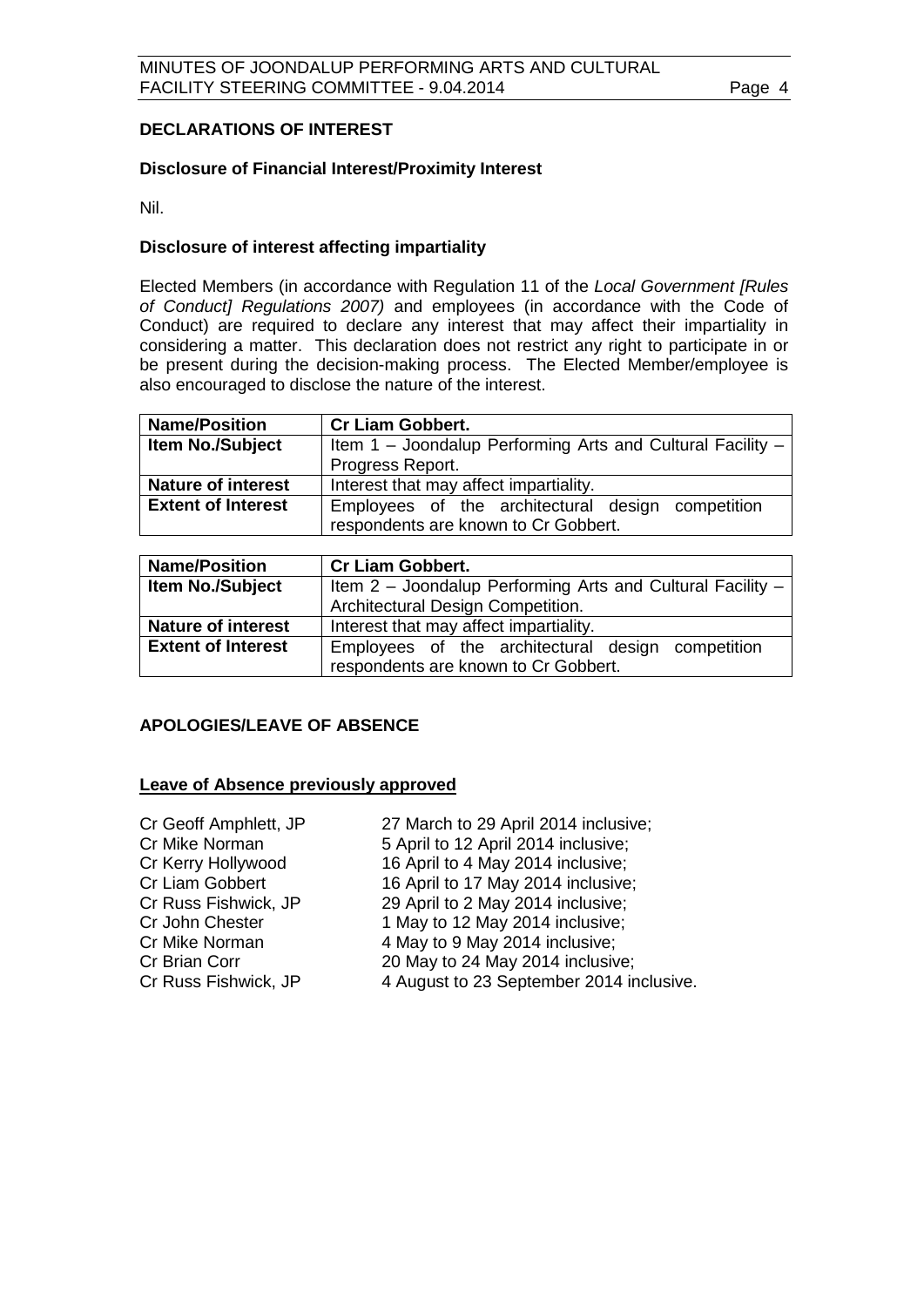### <span id="page-3-0"></span>**DECLARATIONS OF INTEREST**

#### **Disclosure of Financial Interest/Proximity Interest**

Nil.

#### **Disclosure of interest affecting impartiality**

Elected Members (in accordance with Regulation 11 of the *Local Government [Rules of Conduct] Regulations 2007)* and employees (in accordance with the Code of Conduct) are required to declare any interest that may affect their impartiality in considering a matter. This declaration does not restrict any right to participate in or be present during the decision-making process. The Elected Member/employee is also encouraged to disclose the nature of the interest.

| <b>Name/Position</b>      | <b>Cr Liam Gobbert.</b>                                                                   |  |  |
|---------------------------|-------------------------------------------------------------------------------------------|--|--|
| <b>Item No./Subject</b>   | Item 1 – Joondalup Performing Arts and Cultural Facility $-$                              |  |  |
|                           | Progress Report.                                                                          |  |  |
| <b>Nature of interest</b> | Interest that may affect impartiality.                                                    |  |  |
| <b>Extent of Interest</b> | Employees of the architectural design competition<br>respondents are known to Cr Gobbert. |  |  |

| <b>Name/Position</b>      | <b>Cr Liam Gobbert.</b>                                      |  |
|---------------------------|--------------------------------------------------------------|--|
| Item No./Subject          | Item 2 – Joondalup Performing Arts and Cultural Facility $-$ |  |
|                           | Architectural Design Competition.                            |  |
| <b>Nature of interest</b> | Interest that may affect impartiality.                       |  |
| <b>Extent of Interest</b> | Employees of the architectural design competition            |  |
|                           | respondents are known to Cr Gobbert.                         |  |

#### <span id="page-3-1"></span>**APOLOGIES/LEAVE OF ABSENCE**

#### **Leave of Absence previously approved**

| Cr Geoff Amphlett, JP | 27 March to 29 April 2014 inclusive;     |
|-----------------------|------------------------------------------|
| Cr Mike Norman        | 5 April to 12 April 2014 inclusive;      |
| Cr Kerry Hollywood    | 16 April to 4 May 2014 inclusive;        |
| Cr Liam Gobbert       | 16 April to 17 May 2014 inclusive;       |
| Cr Russ Fishwick, JP  | 29 April to 2 May 2014 inclusive;        |
| Cr John Chester       | 1 May to 12 May 2014 inclusive;          |
| Cr Mike Norman        | 4 May to 9 May 2014 inclusive;           |
| Cr Brian Corr         | 20 May to 24 May 2014 inclusive;         |
| Cr Russ Fishwick, JP  | 4 August to 23 September 2014 inclusive. |
|                       |                                          |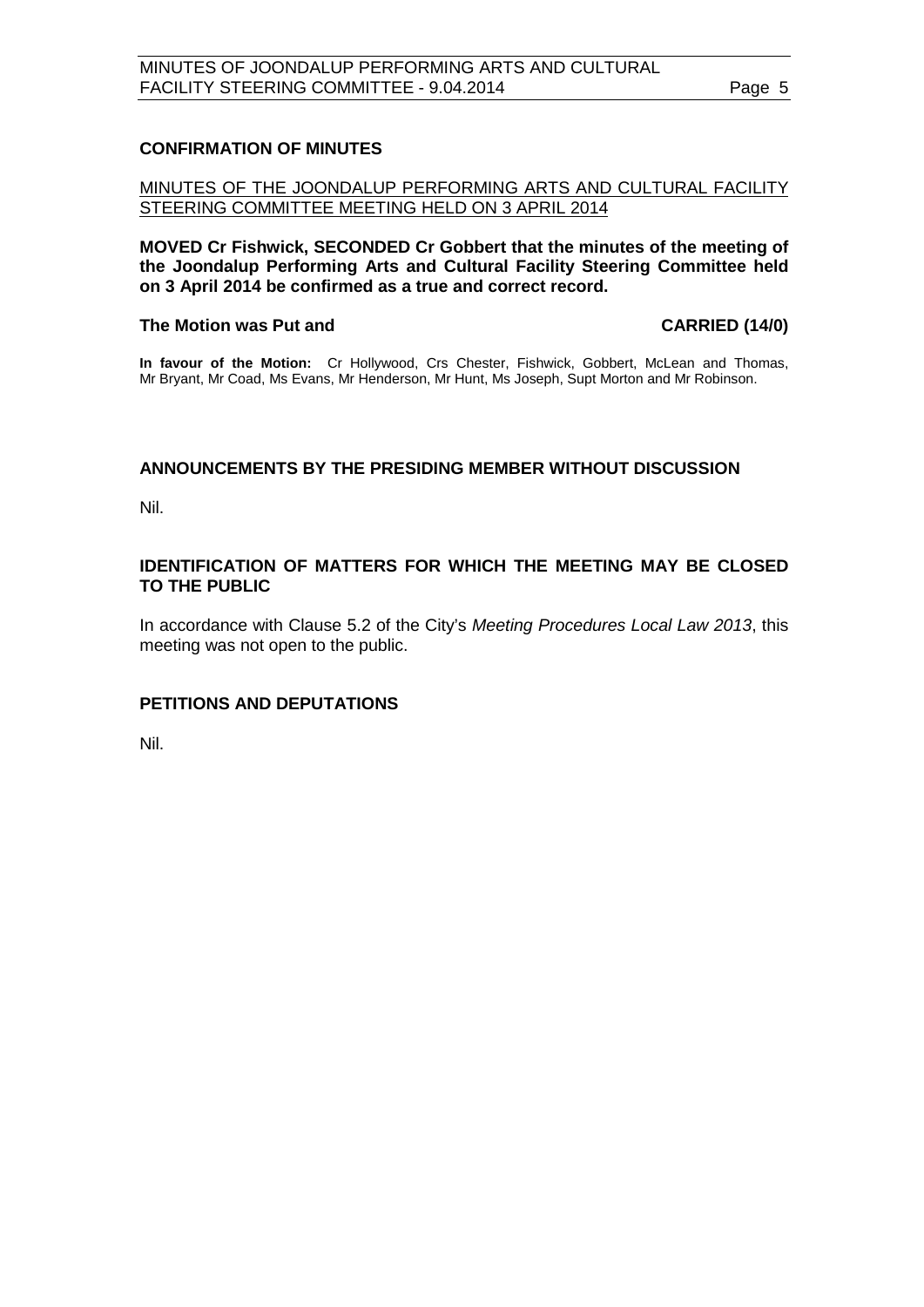#### <span id="page-4-0"></span>**CONFIRMATION OF MINUTES**

MINUTES OF THE JOONDALUP PERFORMING ARTS AND CULTURAL FACILITY STEERING COMMITTEE MEETING HELD ON 3 APRIL 2014

**MOVED Cr Fishwick, SECONDED Cr Gobbert that the minutes of the meeting of the Joondalup Performing Arts and Cultural Facility Steering Committee held on 3 April 2014 be confirmed as a true and correct record.**

#### The Motion was Put and **CARRIED** (14/0)

**In favour of the Motion:** Cr Hollywood, Crs Chester, Fishwick, Gobbert, McLean and Thomas, Mr Bryant, Mr Coad, Ms Evans, Mr Henderson, Mr Hunt, Ms Joseph, Supt Morton and Mr Robinson.

### <span id="page-4-1"></span>**ANNOUNCEMENTS BY THE PRESIDING MEMBER WITHOUT DISCUSSION**

Nil.

#### <span id="page-4-2"></span>**IDENTIFICATION OF MATTERS FOR WHICH THE MEETING MAY BE CLOSED TO THE PUBLIC**

In accordance with Clause 5.2 of the City's *Meeting Procedures Local Law 2013*, this meeting was not open to the public.

#### <span id="page-4-3"></span>**PETITIONS AND DEPUTATIONS**

Nil.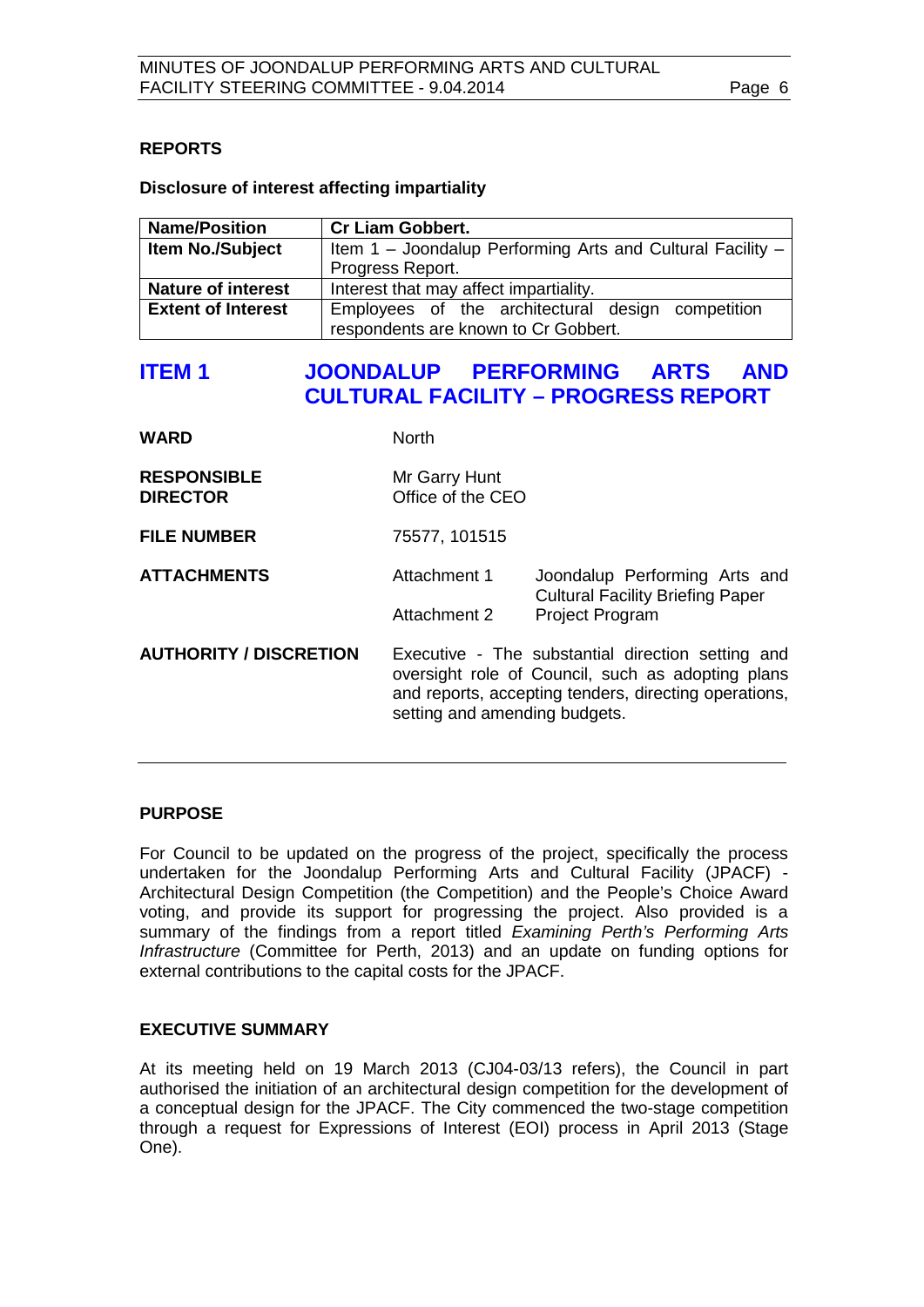### <span id="page-5-0"></span>**REPORTS**

#### **Disclosure of interest affecting impartiality**

| <b>Name/Position</b>      | <b>Cr Liam Gobbert.</b>                                                                   |  |  |
|---------------------------|-------------------------------------------------------------------------------------------|--|--|
| <b>Item No./Subject</b>   | Item 1 – Joondalup Performing Arts and Cultural Facility $-$                              |  |  |
|                           | Progress Report.                                                                          |  |  |
| <b>Nature of interest</b> | Interest that may affect impartiality.                                                    |  |  |
| <b>Extent of Interest</b> | Employees of the architectural design competition<br>respondents are known to Cr Gobbert. |  |  |

## <span id="page-5-1"></span>**ITEM 1 JOONDALUP PERFORMING ARTS AND CULTURAL FACILITY – PROGRESS REPORT**

| <b>WARD</b>                           | <b>North</b>                                                                                                                                                                                     |                                                                          |
|---------------------------------------|--------------------------------------------------------------------------------------------------------------------------------------------------------------------------------------------------|--------------------------------------------------------------------------|
| <b>RESPONSIBLE</b><br><b>DIRECTOR</b> | Mr Garry Hunt<br>Office of the CEO                                                                                                                                                               |                                                                          |
| <b>FILE NUMBER</b>                    | 75577, 101515                                                                                                                                                                                    |                                                                          |
| <b>ATTACHMENTS</b>                    | Attachment 1                                                                                                                                                                                     | Joondalup Performing Arts and<br><b>Cultural Facility Briefing Paper</b> |
|                                       | Attachment 2                                                                                                                                                                                     | <b>Project Program</b>                                                   |
| <b>AUTHORITY / DISCRETION</b>         | Executive - The substantial direction setting and<br>oversight role of Council, such as adopting plans<br>and reports, accepting tenders, directing operations,<br>setting and amending budgets. |                                                                          |

#### **PURPOSE**

For Council to be updated on the progress of the project, specifically the process undertaken for the Joondalup Performing Arts and Cultural Facility (JPACF) - Architectural Design Competition (the Competition) and the People's Choice Award voting, and provide its support for progressing the project. Also provided is a summary of the findings from a report titled *Examining Perth's Performing Arts Infrastructure* (Committee for Perth, 2013) and an update on funding options for external contributions to the capital costs for the JPACF.

#### **EXECUTIVE SUMMARY**

At its meeting held on 19 March 2013 (CJ04-03/13 refers), the Council in part authorised the initiation of an architectural design competition for the development of a conceptual design for the JPACF. The City commenced the two-stage competition through a request for Expressions of Interest (EOI) process in April 2013 (Stage One).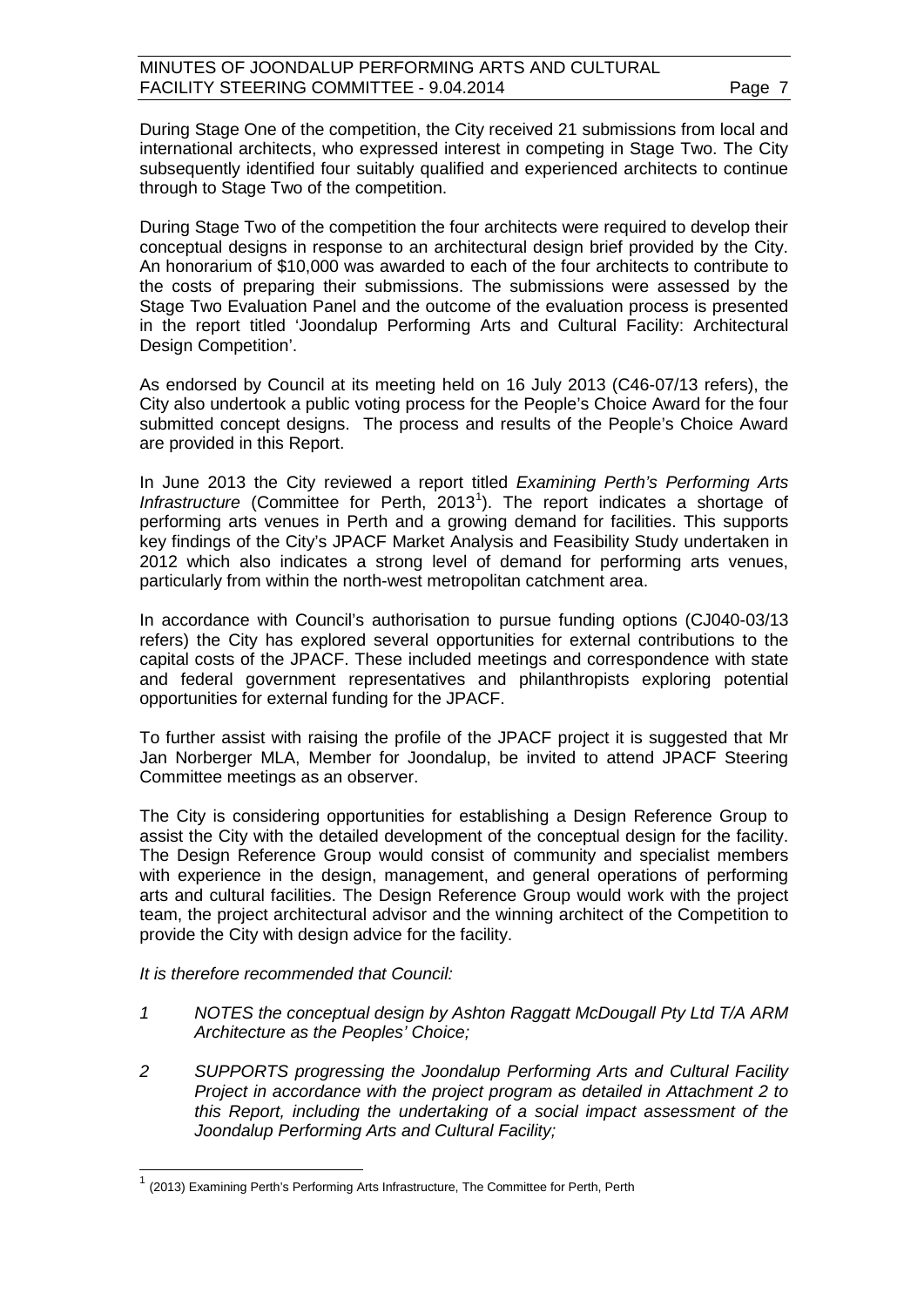During Stage One of the competition, the City received 21 submissions from local and international architects, who expressed interest in competing in Stage Two. The City subsequently identified four suitably qualified and experienced architects to continue through to Stage Two of the competition.

During Stage Two of the competition the four architects were required to develop their conceptual designs in response to an architectural design brief provided by the City. An honorarium of \$10,000 was awarded to each of the four architects to contribute to the costs of preparing their submissions. The submissions were assessed by the Stage Two Evaluation Panel and the outcome of the evaluation process is presented in the report titled 'Joondalup Performing Arts and Cultural Facility: Architectural Design Competition'.

As endorsed by Council at its meeting held on 16 July 2013 (C46-07/13 refers), the City also undertook a public voting process for the People's Choice Award for the four submitted concept designs. The process and results of the People's Choice Award are provided in this Report.

In June 2013 the City reviewed a report titled *Examining Perth's Performing Arts*  Infrastructure (Committee for Perth, 20[1](#page-6-0)3<sup>1</sup>). The report indicates a shortage of performing arts venues in Perth and a growing demand for facilities. This supports key findings of the City's JPACF Market Analysis and Feasibility Study undertaken in 2012 which also indicates a strong level of demand for performing arts venues, particularly from within the north-west metropolitan catchment area.

In accordance with Council's authorisation to pursue funding options (CJ040-03/13 refers) the City has explored several opportunities for external contributions to the capital costs of the JPACF. These included meetings and correspondence with state and federal government representatives and philanthropists exploring potential opportunities for external funding for the JPACF.

To further assist with raising the profile of the JPACF project it is suggested that Mr Jan Norberger MLA, Member for Joondalup, be invited to attend JPACF Steering Committee meetings as an observer.

The City is considering opportunities for establishing a Design Reference Group to assist the City with the detailed development of the conceptual design for the facility. The Design Reference Group would consist of community and specialist members with experience in the design, management, and general operations of performing arts and cultural facilities. The Design Reference Group would work with the project team, the project architectural advisor and the winning architect of the Competition to provide the City with design advice for the facility.

#### *It is therefore recommended that Council:*

- *1 NOTES the conceptual design by Ashton Raggatt McDougall Pty Ltd T/A ARM Architecture as the Peoples' Choice;*
- *2 SUPPORTS progressing the Joondalup Performing Arts and Cultural Facility Project in accordance with the project program as detailed in Attachment 2 to this Report, including the undertaking of a social impact assessment of the Joondalup Performing Arts and Cultural Facility;*

<span id="page-6-0"></span> $1$  (2013) Examining Perth's Performing Arts Infrastructure, The Committee for Perth, Perth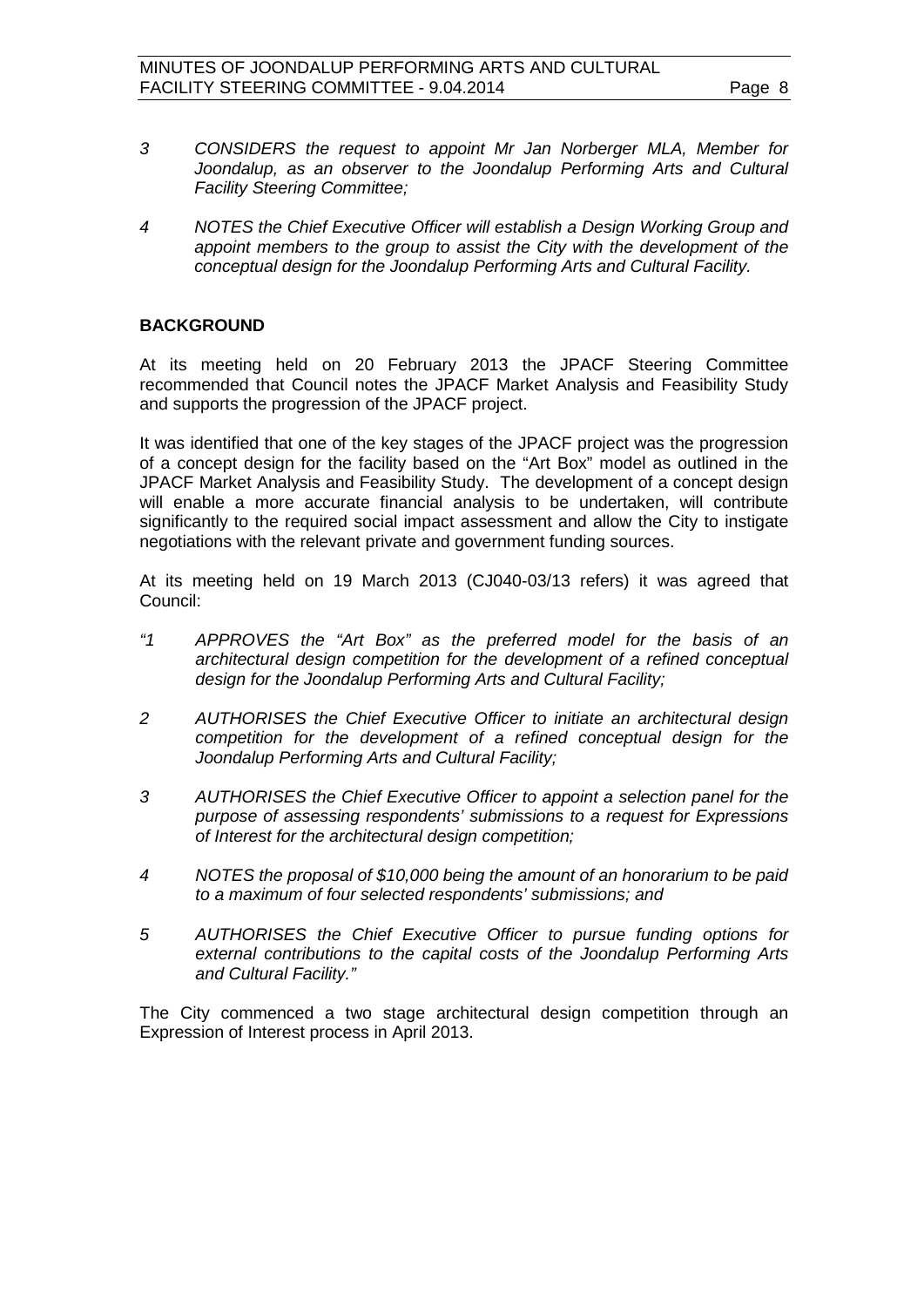- *3 CONSIDERS the request to appoint Mr Jan Norberger MLA, Member for*  Joondalup, as an observer to the Joondalup Performing Arts and Cultural *Facility Steering Committee;*
- *4 NOTES the Chief Executive Officer will establish a Design Working Group and appoint members to the group to assist the City with the development of the conceptual design for the Joondalup Performing Arts and Cultural Facility.*

#### **BACKGROUND**

At its meeting held on 20 February 2013 the JPACF Steering Committee recommended that Council notes the JPACF Market Analysis and Feasibility Study and supports the progression of the JPACF project.

It was identified that one of the key stages of the JPACF project was the progression of a concept design for the facility based on the "Art Box" model as outlined in the JPACF Market Analysis and Feasibility Study. The development of a concept design will enable a more accurate financial analysis to be undertaken, will contribute significantly to the required social impact assessment and allow the City to instigate negotiations with the relevant private and government funding sources.

At its meeting held on 19 March 2013 (CJ040-03/13 refers) it was agreed that Council:

- *"1 APPROVES the "Art Box" as the preferred model for the basis of an architectural design competition for the development of a refined conceptual design for the Joondalup Performing Arts and Cultural Facility;*
- *2 AUTHORISES the Chief Executive Officer to initiate an architectural design competition for the development of a refined conceptual design for the Joondalup Performing Arts and Cultural Facility;*
- *3 AUTHORISES the Chief Executive Officer to appoint a selection panel for the purpose of assessing respondents' submissions to a request for Expressions of Interest for the architectural design competition;*
- *4 NOTES the proposal of \$10,000 being the amount of an honorarium to be paid to a maximum of four selected respondents' submissions; and*
- *5 AUTHORISES the Chief Executive Officer to pursue funding options for external contributions to the capital costs of the Joondalup Performing Arts and Cultural Facility."*

The City commenced a two stage architectural design competition through an Expression of Interest process in April 2013.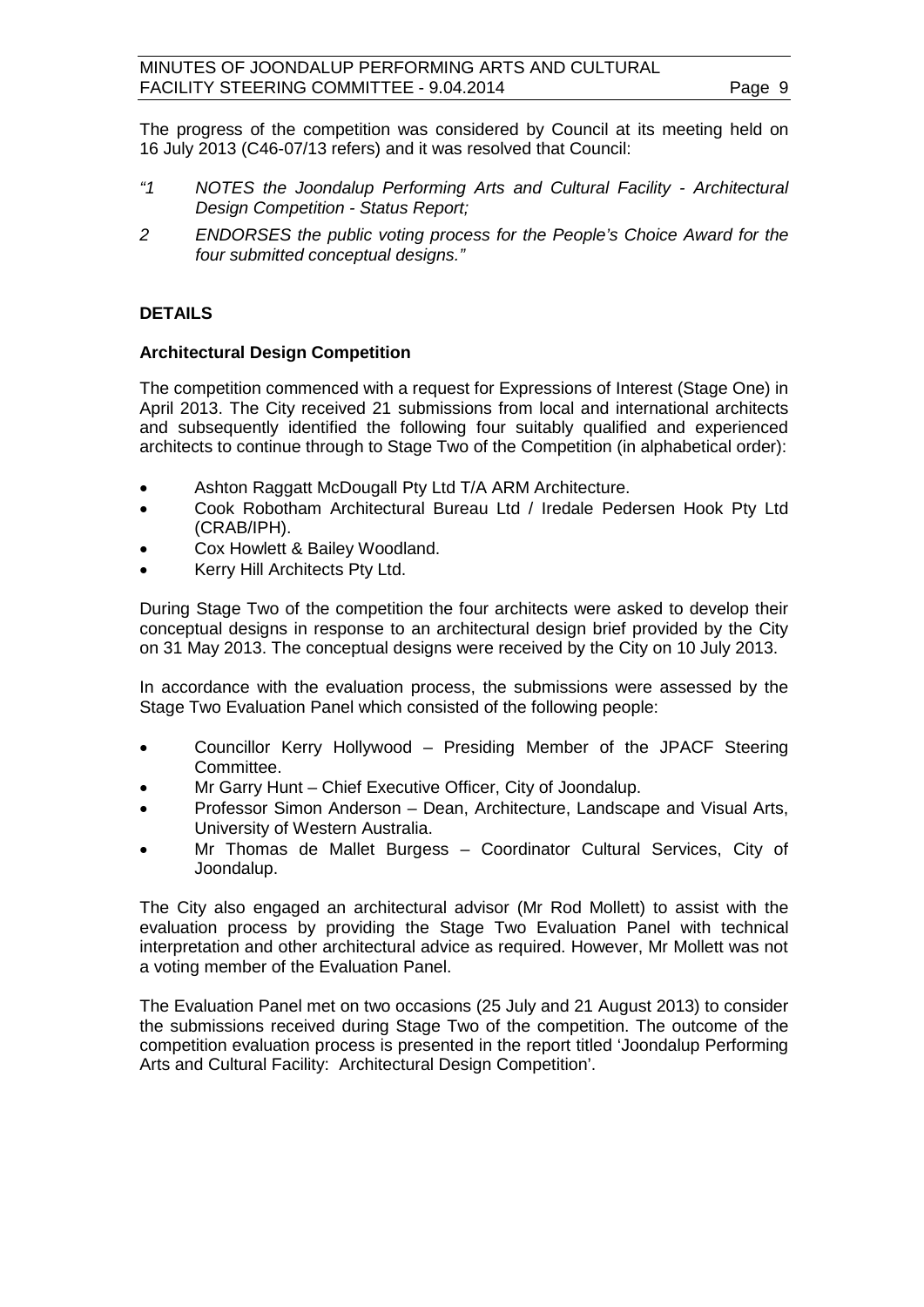The progress of the competition was considered by Council at its meeting held on 16 July 2013 (C46-07/13 refers) and it was resolved that Council:

- *"1 NOTES the Joondalup Performing Arts and Cultural Facility - Architectural Design Competition - Status Report;*
- *2 ENDORSES the public voting process for the People's Choice Award for the four submitted conceptual designs."*

### **DETAILS**

#### **Architectural Design Competition**

The competition commenced with a request for Expressions of Interest (Stage One) in April 2013. The City received 21 submissions from local and international architects and subsequently identified the following four suitably qualified and experienced architects to continue through to Stage Two of the Competition (in alphabetical order):

- Ashton Raggatt McDougall Pty Ltd T/A ARM Architecture.
- Cook Robotham Architectural Bureau Ltd / Iredale Pedersen Hook Pty Ltd (CRAB/IPH).
- Cox Howlett & Bailey Woodland.
- Kerry Hill Architects Pty Ltd.

During Stage Two of the competition the four architects were asked to develop their conceptual designs in response to an architectural design brief provided by the City on 31 May 2013. The conceptual designs were received by the City on 10 July 2013.

In accordance with the evaluation process, the submissions were assessed by the Stage Two Evaluation Panel which consisted of the following people:

- Councillor Kerry Hollywood Presiding Member of the JPACF Steering Committee.
- Mr Garry Hunt Chief Executive Officer, City of Joondalup.
- Professor Simon Anderson Dean, Architecture, Landscape and Visual Arts, University of Western Australia.
- Mr Thomas de Mallet Burgess Coordinator Cultural Services, City of Joondalup.

The City also engaged an architectural advisor (Mr Rod Mollett) to assist with the evaluation process by providing the Stage Two Evaluation Panel with technical interpretation and other architectural advice as required. However, Mr Mollett was not a voting member of the Evaluation Panel.

The Evaluation Panel met on two occasions (25 July and 21 August 2013) to consider the submissions received during Stage Two of the competition. The outcome of the competition evaluation process is presented in the report titled 'Joondalup Performing Arts and Cultural Facility: Architectural Design Competition'.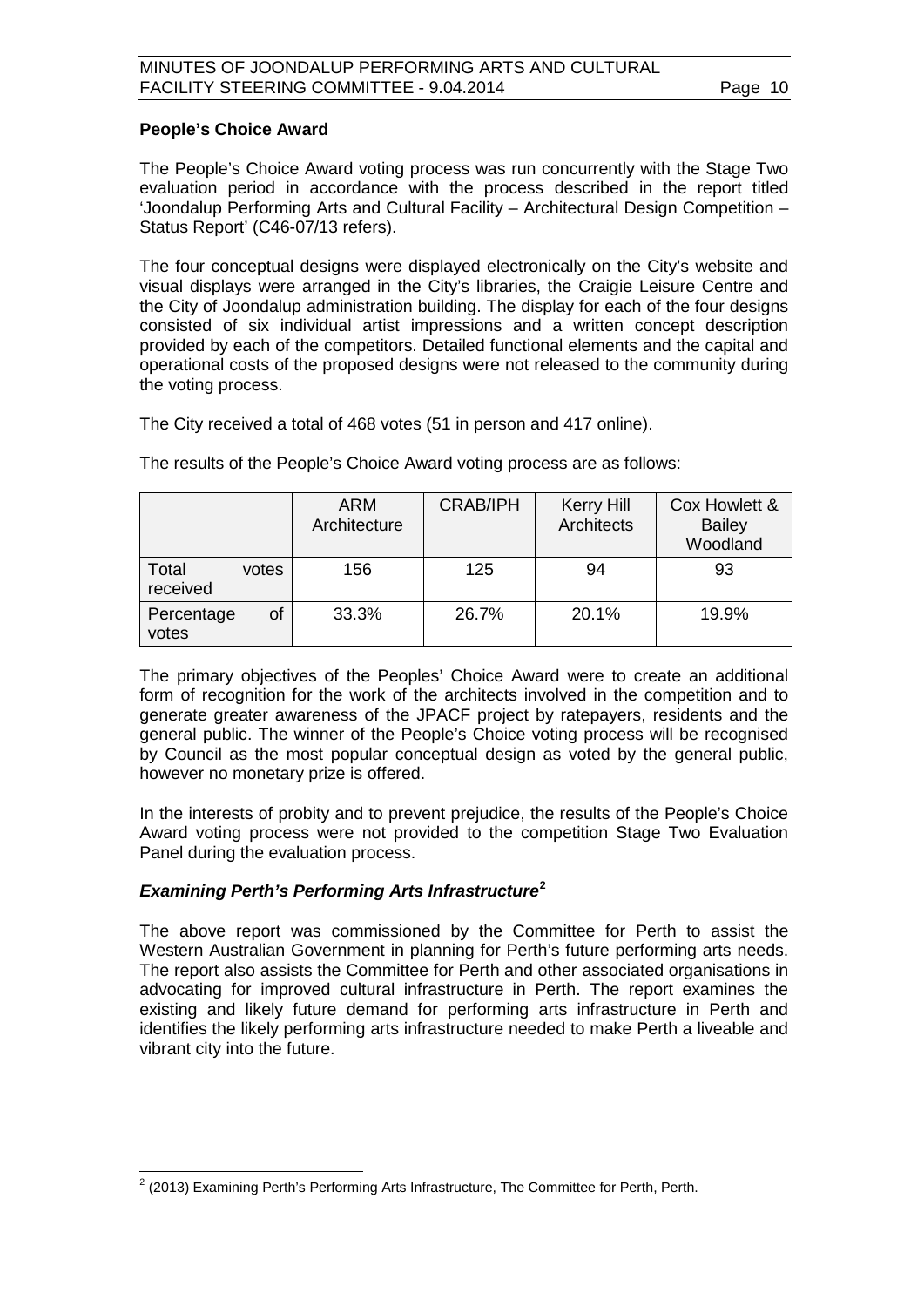#### **People's Choice Award**

The People's Choice Award voting process was run concurrently with the Stage Two evaluation period in accordance with the process described in the report titled 'Joondalup Performing Arts and Cultural Facility – Architectural Design Competition – Status Report' (C46-07/13 refers).

The four conceptual designs were displayed electronically on the City's website and visual displays were arranged in the City's libraries, the Craigie Leisure Centre and the City of Joondalup administration building. The display for each of the four designs consisted of six individual artist impressions and a written concept description provided by each of the competitors. Detailed functional elements and the capital and operational costs of the proposed designs were not released to the community during the voting process.

The City received a total of 468 votes (51 in person and 417 online).

|                            | ARM<br>Architecture | <b>CRAB/IPH</b> | <b>Kerry Hill</b><br>Architects | Cox Howlett &<br><b>Bailey</b><br>Woodland |
|----------------------------|---------------------|-----------------|---------------------------------|--------------------------------------------|
| Total<br>votes<br>received | 156                 | 125             | 94                              | 93                                         |
| Percentage<br>οf<br>votes  | 33.3%               | 26.7%           | 20.1%                           | 19.9%                                      |

The results of the People's Choice Award voting process are as follows:

The primary objectives of the Peoples' Choice Award were to create an additional form of recognition for the work of the architects involved in the competition and to generate greater awareness of the JPACF project by ratepayers, residents and the general public. The winner of the People's Choice voting process will be recognised by Council as the most popular conceptual design as voted by the general public, however no monetary prize is offered.

In the interests of probity and to prevent prejudice, the results of the People's Choice Award voting process were not provided to the competition Stage Two Evaluation Panel during the evaluation process.

#### *Examining Perth's Performing Arts Infrastructure***[2](#page-9-0)**

The above report was commissioned by the Committee for Perth to assist the Western Australian Government in planning for Perth's future performing arts needs. The report also assists the Committee for Perth and other associated organisations in advocating for improved cultural infrastructure in Perth. The report examines the existing and likely future demand for performing arts infrastructure in Perth and identifies the likely performing arts infrastructure needed to make Perth a liveable and vibrant city into the future.

<span id="page-9-0"></span> $2$  (2013) Examining Perth's Performing Arts Infrastructure, The Committee for Perth, Perth,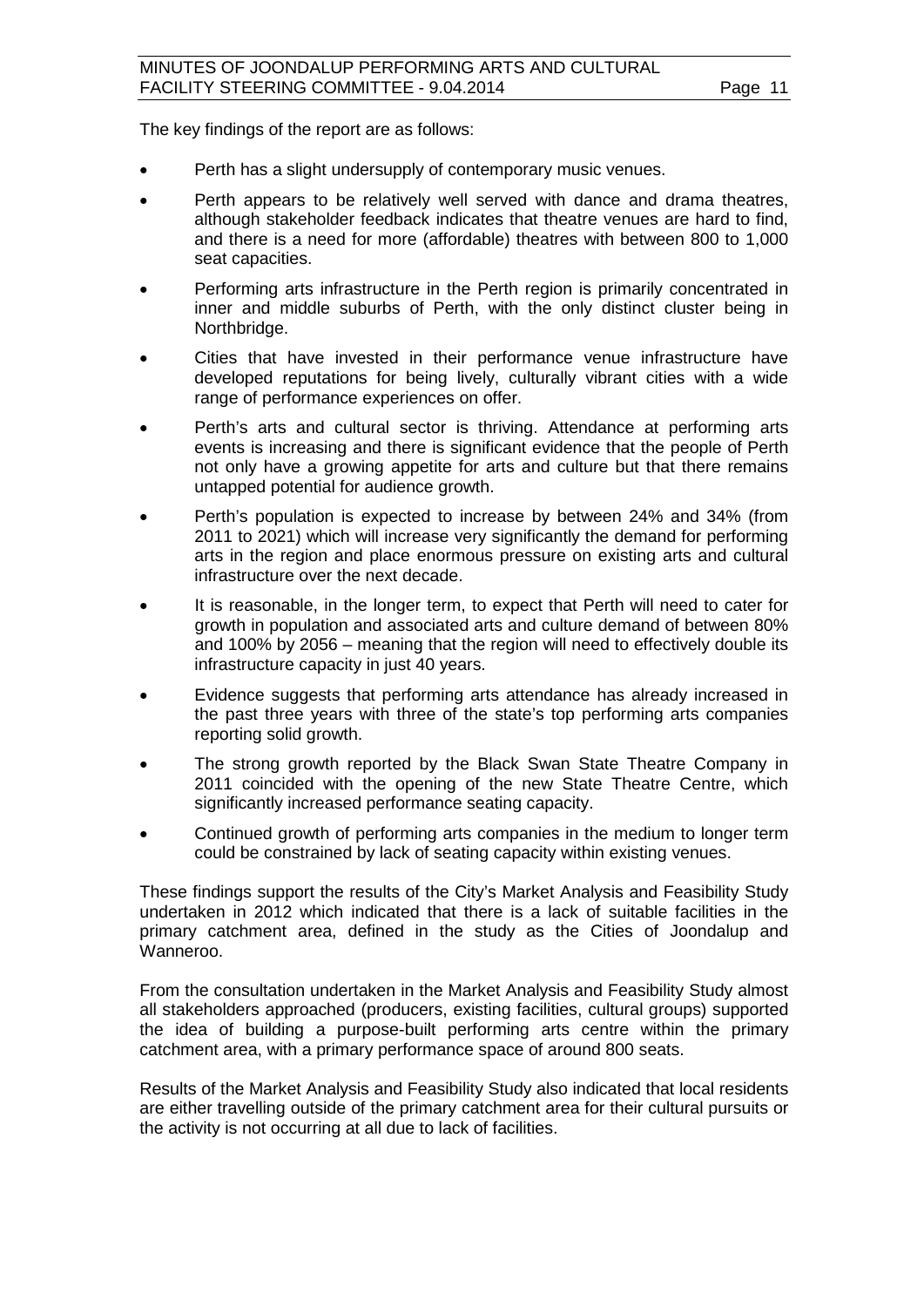The key findings of the report are as follows:

- Perth has a slight undersupply of contemporary music venues.
- Perth appears to be relatively well served with dance and drama theatres, although stakeholder feedback indicates that theatre venues are hard to find, and there is a need for more (affordable) theatres with between 800 to 1,000 seat capacities.
- Performing arts infrastructure in the Perth region is primarily concentrated in inner and middle suburbs of Perth, with the only distinct cluster being in Northbridge.
- Cities that have invested in their performance venue infrastructure have developed reputations for being lively, culturally vibrant cities with a wide range of performance experiences on offer.
- Perth's arts and cultural sector is thriving. Attendance at performing arts events is increasing and there is significant evidence that the people of Perth not only have a growing appetite for arts and culture but that there remains untapped potential for audience growth.
- Perth's population is expected to increase by between 24% and 34% (from 2011 to 2021) which will increase very significantly the demand for performing arts in the region and place enormous pressure on existing arts and cultural infrastructure over the next decade.
- It is reasonable, in the longer term, to expect that Perth will need to cater for growth in population and associated arts and culture demand of between 80% and 100% by 2056 – meaning that the region will need to effectively double its infrastructure capacity in just 40 years.
- Evidence suggests that performing arts attendance has already increased in the past three years with three of the state's top performing arts companies reporting solid growth.
- The strong growth reported by the Black Swan State Theatre Company in 2011 coincided with the opening of the new State Theatre Centre, which significantly increased performance seating capacity.
- Continued growth of performing arts companies in the medium to longer term could be constrained by lack of seating capacity within existing venues.

These findings support the results of the City's Market Analysis and Feasibility Study undertaken in 2012 which indicated that there is a lack of suitable facilities in the primary catchment area, defined in the study as the Cities of Joondalup and Wanneroo.

From the consultation undertaken in the Market Analysis and Feasibility Study almost all stakeholders approached (producers, existing facilities, cultural groups) supported the idea of building a purpose-built performing arts centre within the primary catchment area, with a primary performance space of around 800 seats.

Results of the Market Analysis and Feasibility Study also indicated that local residents are either travelling outside of the primary catchment area for their cultural pursuits or the activity is not occurring at all due to lack of facilities.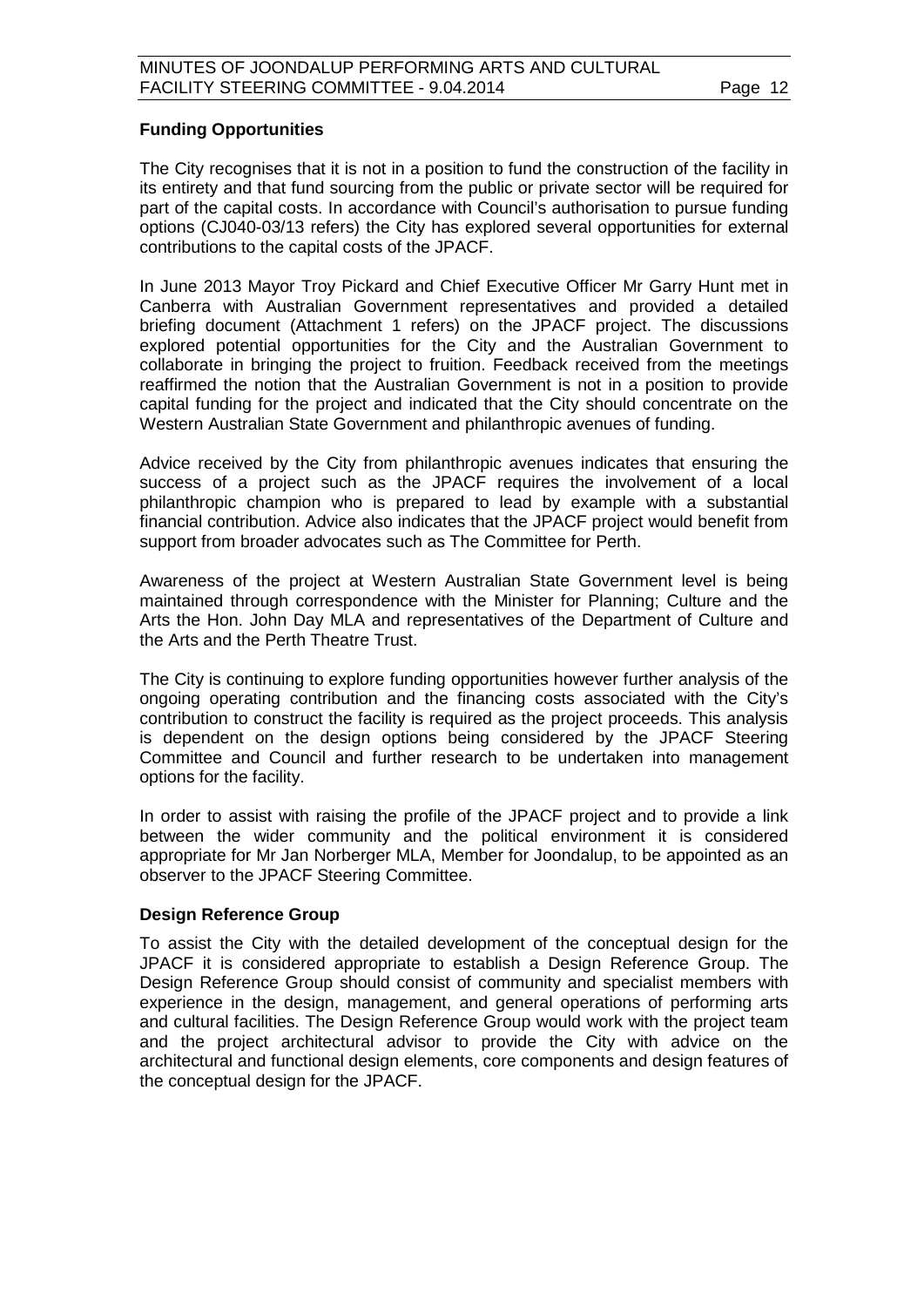#### **Funding Opportunities**

The City recognises that it is not in a position to fund the construction of the facility in its entirety and that fund sourcing from the public or private sector will be required for part of the capital costs. In accordance with Council's authorisation to pursue funding options (CJ040-03/13 refers) the City has explored several opportunities for external contributions to the capital costs of the JPACF.

In June 2013 Mayor Troy Pickard and Chief Executive Officer Mr Garry Hunt met in Canberra with Australian Government representatives and provided a detailed briefing document (Attachment 1 refers) on the JPACF project. The discussions explored potential opportunities for the City and the Australian Government to collaborate in bringing the project to fruition. Feedback received from the meetings reaffirmed the notion that the Australian Government is not in a position to provide capital funding for the project and indicated that the City should concentrate on the Western Australian State Government and philanthropic avenues of funding.

Advice received by the City from philanthropic avenues indicates that ensuring the success of a project such as the JPACF requires the involvement of a local philanthropic champion who is prepared to lead by example with a substantial financial contribution. Advice also indicates that the JPACF project would benefit from support from broader advocates such as The Committee for Perth.

Awareness of the project at Western Australian State Government level is being maintained through correspondence with the Minister for Planning; Culture and the Arts the Hon. John Day MLA and representatives of the Department of Culture and the Arts and the Perth Theatre Trust.

The City is continuing to explore funding opportunities however further analysis of the ongoing operating contribution and the financing costs associated with the City's contribution to construct the facility is required as the project proceeds. This analysis is dependent on the design options being considered by the JPACF Steering Committee and Council and further research to be undertaken into management options for the facility.

In order to assist with raising the profile of the JPACF project and to provide a link between the wider community and the political environment it is considered appropriate for Mr Jan Norberger MLA, Member for Joondalup, to be appointed as an observer to the JPACF Steering Committee.

#### **Design Reference Group**

To assist the City with the detailed development of the conceptual design for the JPACF it is considered appropriate to establish a Design Reference Group. The Design Reference Group should consist of community and specialist members with experience in the design, management, and general operations of performing arts and cultural facilities. The Design Reference Group would work with the project team and the project architectural advisor to provide the City with advice on the architectural and functional design elements, core components and design features of the conceptual design for the JPACF.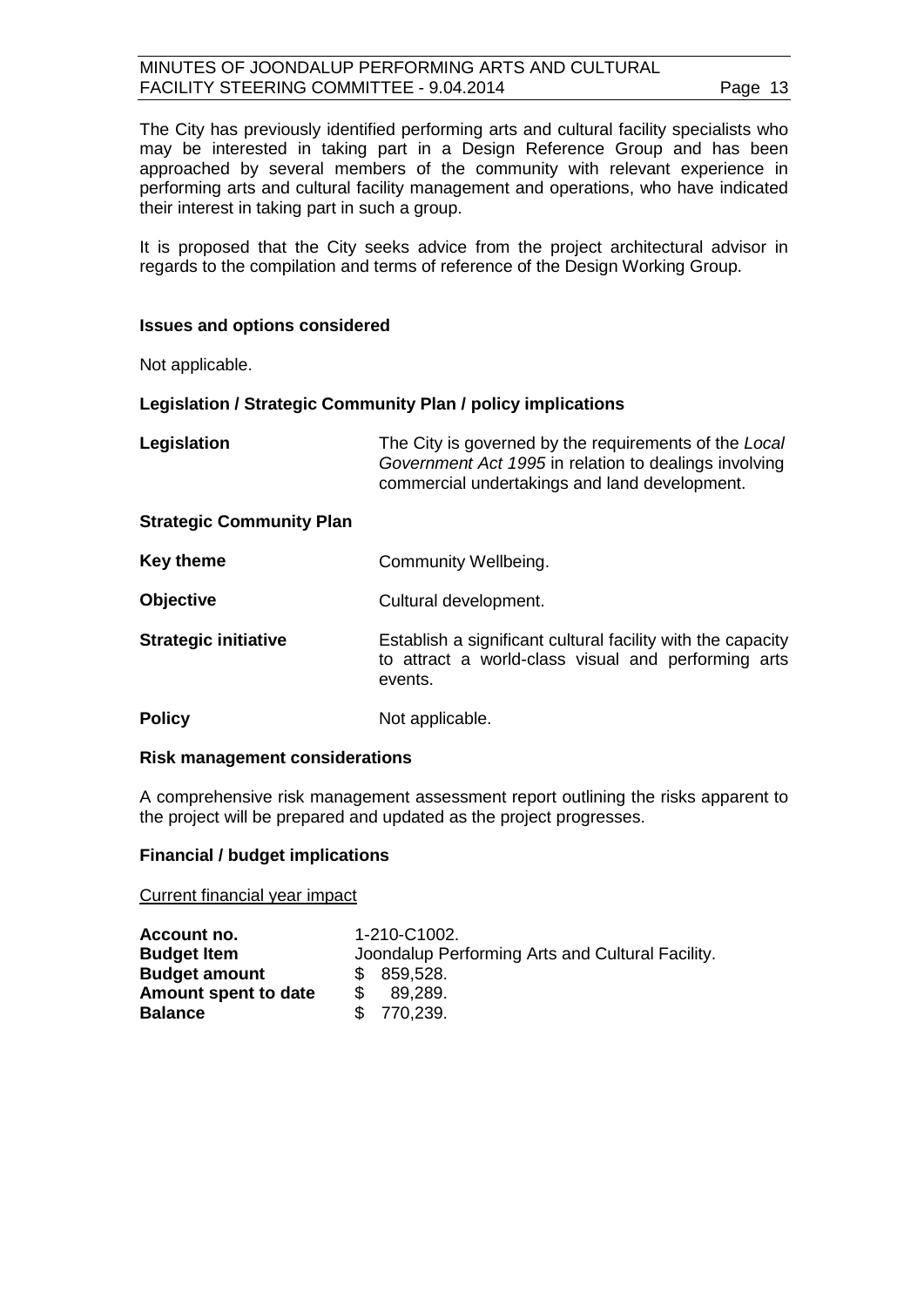The City has previously identified performing arts and cultural facility specialists who may be interested in taking part in a Design Reference Group and has been approached by several members of the community with relevant experience in performing arts and cultural facility management and operations, who have indicated their interest in taking part in such a group.

It is proposed that the City seeks advice from the project architectural advisor in regards to the compilation and terms of reference of the Design Working Group.

#### **Issues and options considered**

Not applicable.

#### **Legislation / Strategic Community Plan / policy implications**

| Legislation                     | The City is governed by the requirements of the Local<br>Government Act 1995 in relation to dealings involving<br>commercial undertakings and land development. |
|---------------------------------|-----------------------------------------------------------------------------------------------------------------------------------------------------------------|
| <b>Strategic Community Plan</b> |                                                                                                                                                                 |
| <b>Key theme</b>                | Community Wellbeing.                                                                                                                                            |
| <b>Objective</b>                | Cultural development.                                                                                                                                           |
| <b>Strategic initiative</b>     | Establish a significant cultural facility with the capacity<br>to attract a world-class visual and performing arts<br>events.                                   |
| <b>Policy</b>                   | Not applicable.                                                                                                                                                 |

#### **Risk management considerations**

A comprehensive risk management assessment report outlining the risks apparent to the project will be prepared and updated as the project progresses.

#### **Financial / budget implications**

Current financial year impact

| 1-210-C1002.                                     |
|--------------------------------------------------|
| Joondalup Performing Arts and Cultural Facility. |
| \$ 859,528.                                      |
| 89.289.                                          |
| \$770,239.                                       |
|                                                  |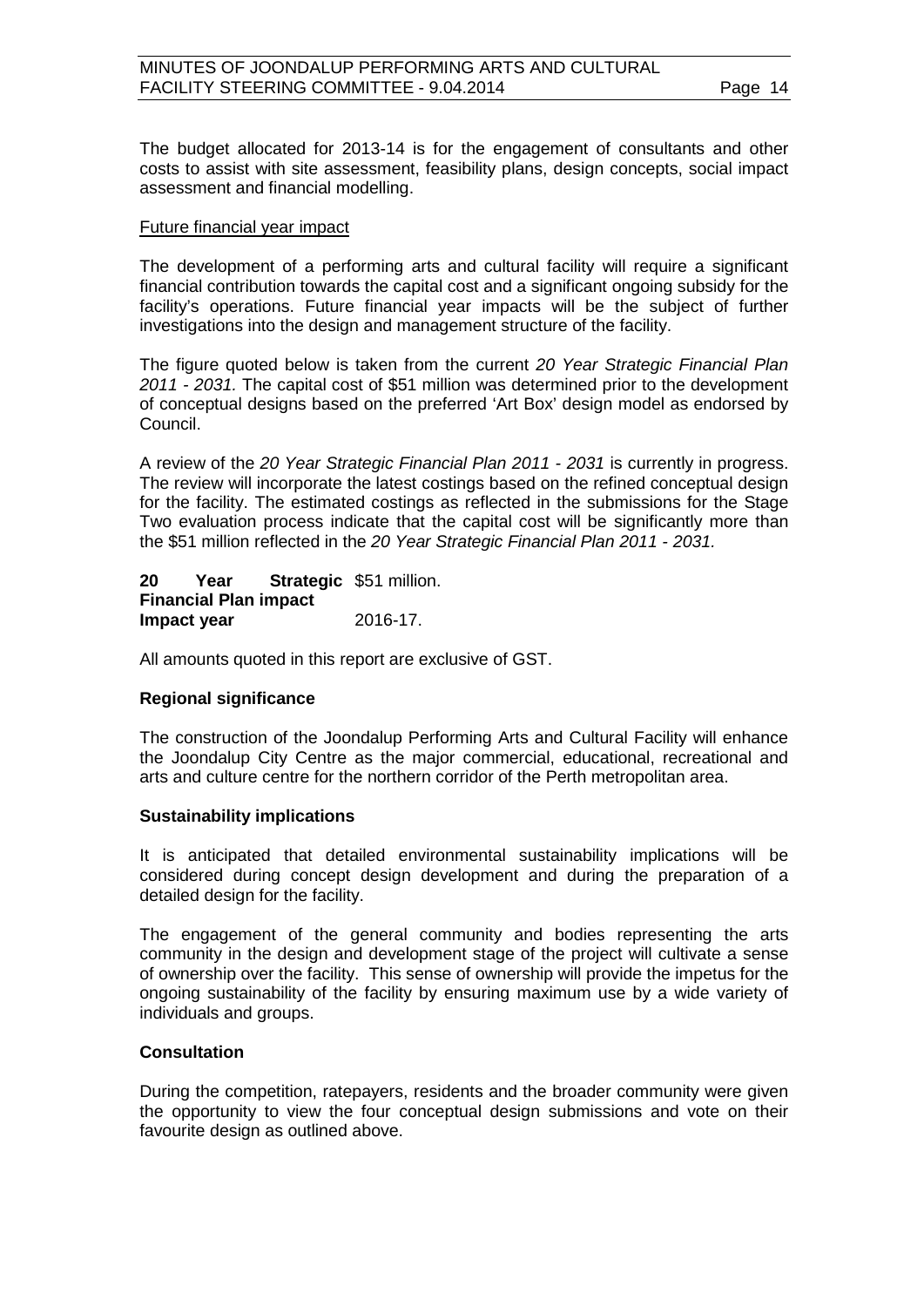The budget allocated for 2013-14 is for the engagement of consultants and other costs to assist with site assessment, feasibility plans, design concepts, social impact assessment and financial modelling.

#### Future financial year impact

The development of a performing arts and cultural facility will require a significant financial contribution towards the capital cost and a significant ongoing subsidy for the facility's operations. Future financial year impacts will be the subject of further investigations into the design and management structure of the facility.

The figure quoted below is taken from the current *20 Year Strategic Financial Plan 2011 - 2031.* The capital cost of \$51 million was determined prior to the development of conceptual designs based on the preferred 'Art Box' design model as endorsed by Council.

A review of the *20 Year Strategic Financial Plan 2011 - 2031* is currently in progress. The review will incorporate the latest costings based on the refined conceptual design for the facility. The estimated costings as reflected in the submissions for the Stage Two evaluation process indicate that the capital cost will be significantly more than the \$51 million reflected in the *20 Year Strategic Financial Plan 2011 - 2031.*

**20 Year Strategic**  \$51 million. **Financial Plan impact Impact year** 2016-17.

All amounts quoted in this report are exclusive of GST.

#### **Regional significance**

The construction of the Joondalup Performing Arts and Cultural Facility will enhance the Joondalup City Centre as the major commercial, educational, recreational and arts and culture centre for the northern corridor of the Perth metropolitan area.

#### **Sustainability implications**

It is anticipated that detailed environmental sustainability implications will be considered during concept design development and during the preparation of a detailed design for the facility.

The engagement of the general community and bodies representing the arts community in the design and development stage of the project will cultivate a sense of ownership over the facility. This sense of ownership will provide the impetus for the ongoing sustainability of the facility by ensuring maximum use by a wide variety of individuals and groups.

#### **Consultation**

During the competition, ratepayers, residents and the broader community were given the opportunity to view the four conceptual design submissions and vote on their favourite design as outlined above.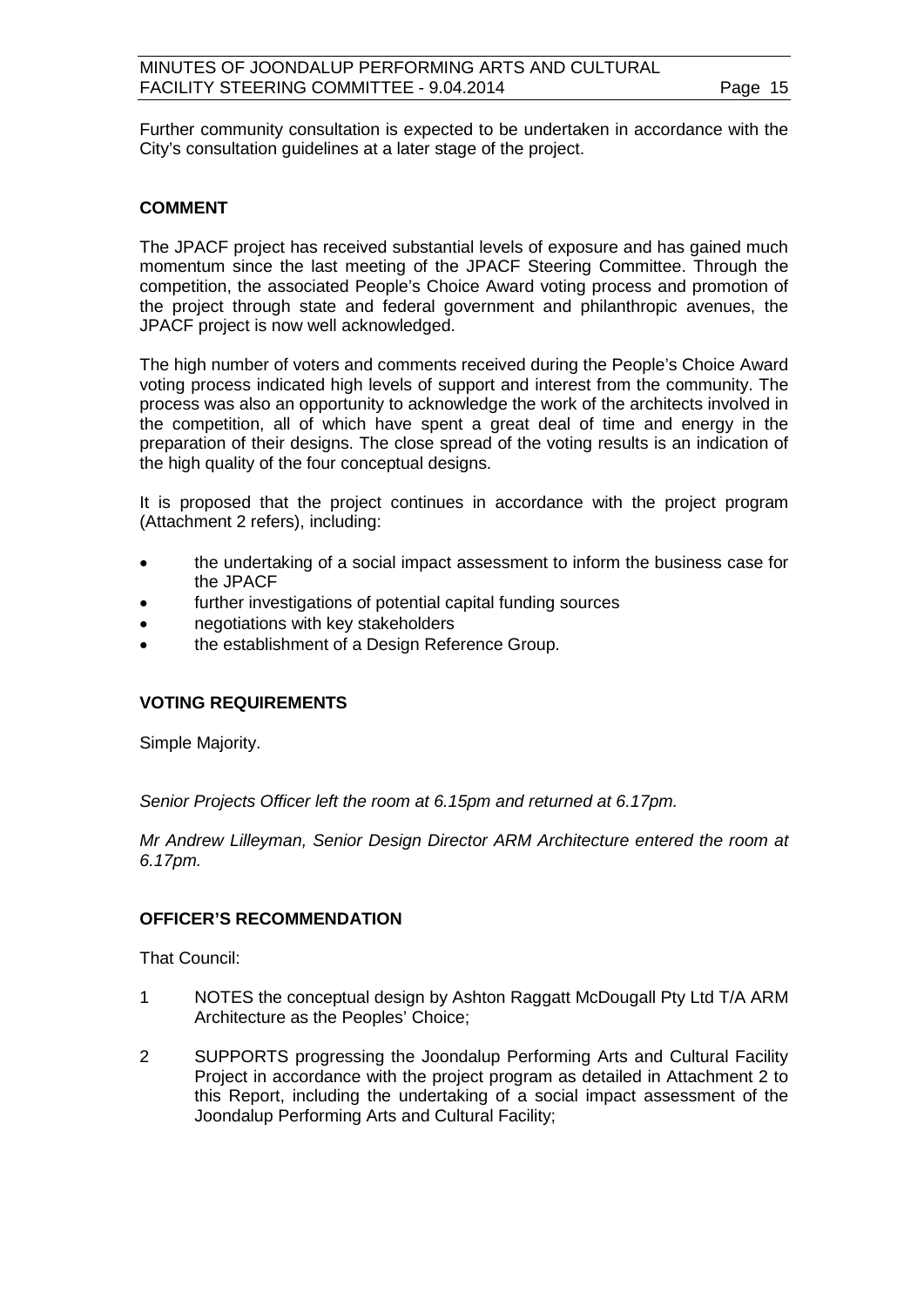Further community consultation is expected to be undertaken in accordance with the City's consultation guidelines at a later stage of the project.

#### **COMMENT**

The JPACF project has received substantial levels of exposure and has gained much momentum since the last meeting of the JPACF Steering Committee. Through the competition, the associated People's Choice Award voting process and promotion of the project through state and federal government and philanthropic avenues, the JPACF project is now well acknowledged.

The high number of voters and comments received during the People's Choice Award voting process indicated high levels of support and interest from the community. The process was also an opportunity to acknowledge the work of the architects involved in the competition, all of which have spent a great deal of time and energy in the preparation of their designs. The close spread of the voting results is an indication of the high quality of the four conceptual designs.

It is proposed that the project continues in accordance with the project program (Attachment 2 refers), including:

- the undertaking of a social impact assessment to inform the business case for the JPACF
- further investigations of potential capital funding sources
- negotiations with key stakeholders
- the establishment of a Design Reference Group.

#### **VOTING REQUIREMENTS**

Simple Majority.

*Senior Projects Officer left the room at 6.15pm and returned at 6.17pm.*

*Mr Andrew Lilleyman, Senior Design Director ARM Architecture entered the room at 6.17pm.*

#### **OFFICER'S RECOMMENDATION**

That Council:

- 1 NOTES the conceptual design by Ashton Raggatt McDougall Pty Ltd T/A ARM Architecture as the Peoples' Choice;
- 2 SUPPORTS progressing the Joondalup Performing Arts and Cultural Facility Project in accordance with the project program as detailed in Attachment 2 to this Report, including the undertaking of a social impact assessment of the Joondalup Performing Arts and Cultural Facility;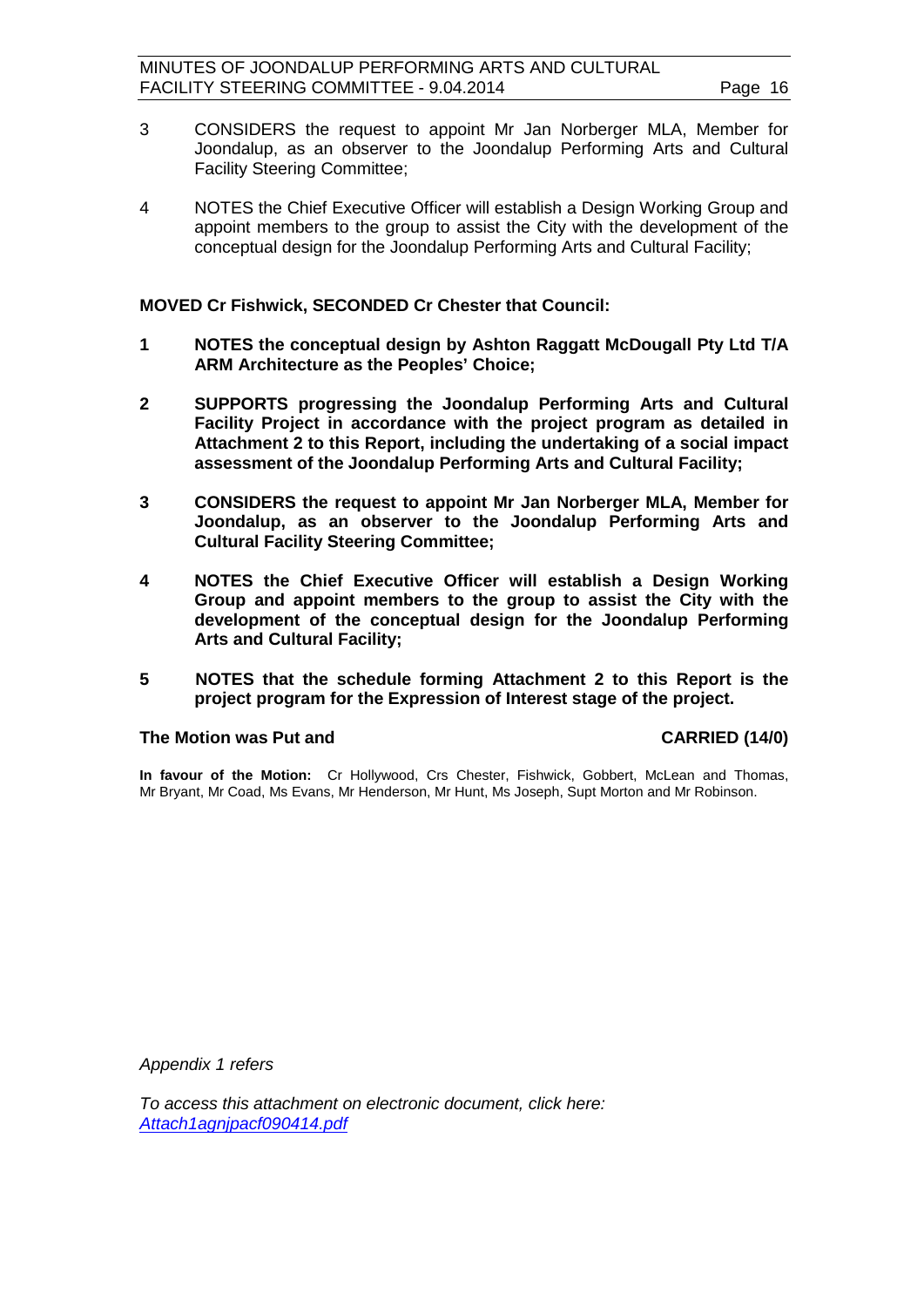- 3 CONSIDERS the request to appoint Mr Jan Norberger MLA, Member for Joondalup, as an observer to the Joondalup Performing Arts and Cultural Facility Steering Committee;
- 4 NOTES the Chief Executive Officer will establish a Design Working Group and appoint members to the group to assist the City with the development of the conceptual design for the Joondalup Performing Arts and Cultural Facility;

**MOVED Cr Fishwick, SECONDED Cr Chester that Council:**

- **1 NOTES the conceptual design by Ashton Raggatt McDougall Pty Ltd T/A ARM Architecture as the Peoples' Choice;**
- **2 SUPPORTS progressing the Joondalup Performing Arts and Cultural Facility Project in accordance with the project program as detailed in Attachment 2 to this Report, including the undertaking of a social impact assessment of the Joondalup Performing Arts and Cultural Facility;**
- **3 CONSIDERS the request to appoint Mr Jan Norberger MLA, Member for Joondalup, as an observer to the Joondalup Performing Arts and Cultural Facility Steering Committee;**
- **4 NOTES the Chief Executive Officer will establish a Design Working Group and appoint members to the group to assist the City with the development of the conceptual design for the Joondalup Performing Arts and Cultural Facility;**
- **5 NOTES that the schedule forming Attachment 2 to this Report is the project program for the Expression of Interest stage of the project.**

#### The Motion was Put and **CARRIED** (14/0)

**In favour of the Motion:** Cr Hollywood, Crs Chester, Fishwick, Gobbert, McLean and Thomas, Mr Bryant, Mr Coad, Ms Evans, Mr Henderson, Mr Hunt, Ms Joseph, Supt Morton and Mr Robinson.

*Appendix 1 refers*

*[To access this attachment on electronic document, click here:](http://www.joondalup.wa.gov.au/files/committees/JRPA/2014/Attach1agnjpacf090414.pdf)  Attach1agnjpacf090414.pdf*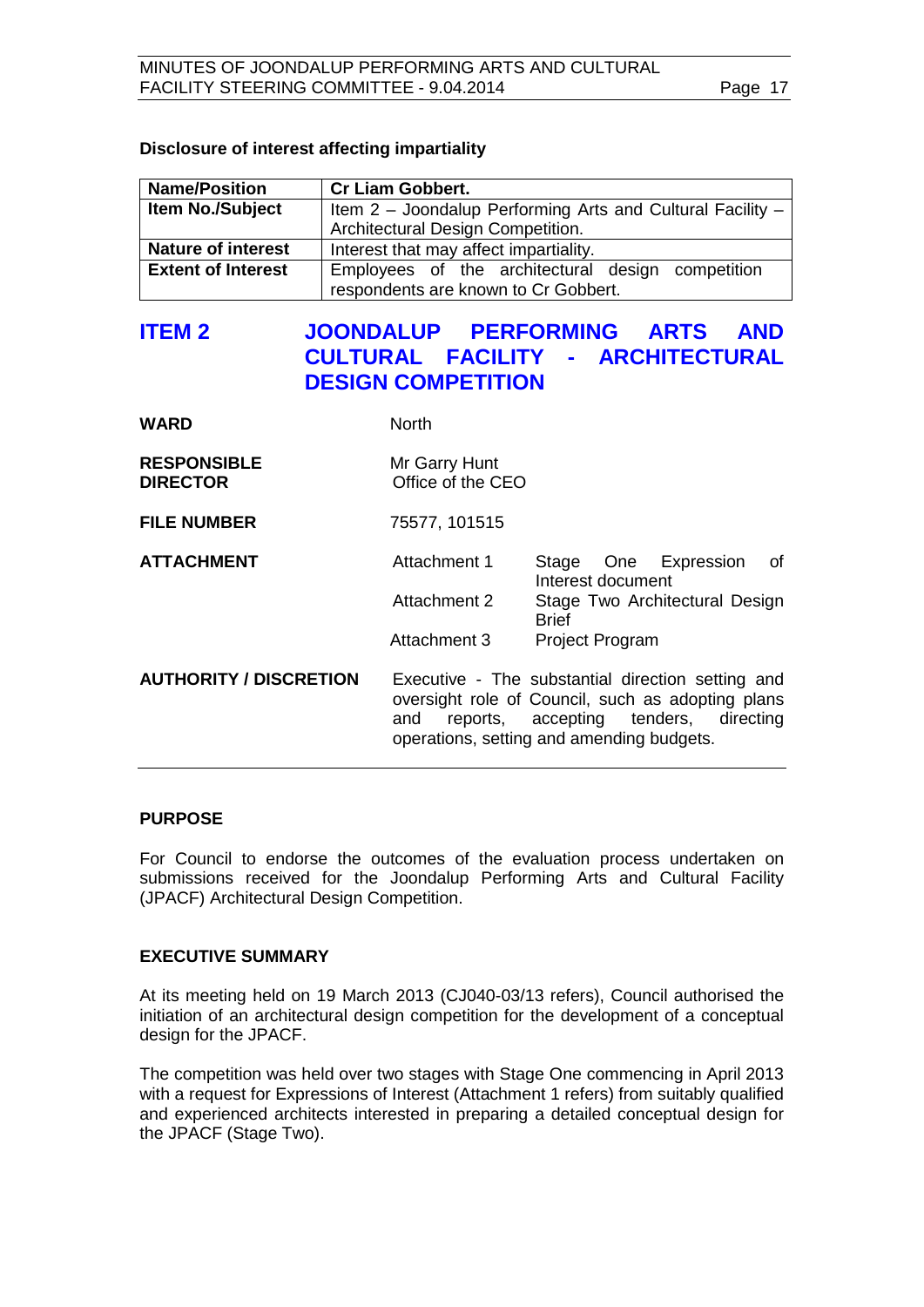#### **Disclosure of interest affecting impartiality**

| <b>Name/Position</b>      | <b>Cr Liam Gobbert.</b>                                    |
|---------------------------|------------------------------------------------------------|
| <b>Item No./Subject</b>   | Item 2 - Joondalup Performing Arts and Cultural Facility - |
|                           | Architectural Design Competition.                          |
| <b>Nature of interest</b> | Interest that may affect impartiality.                     |
| <b>Extent of Interest</b> | Employees of the architectural design competition          |
|                           | respondents are known to Cr Gobbert.                       |

# <span id="page-16-0"></span>**ITEM 2 JOONDALUP PERFORMING ARTS AND CULTURAL FACILITY - ARCHITECTURAL DESIGN COMPETITION**

| WARD                                  | <b>North</b>                       |                                                                                                                                                                                                 |
|---------------------------------------|------------------------------------|-------------------------------------------------------------------------------------------------------------------------------------------------------------------------------------------------|
| <b>RESPONSIBLE</b><br><b>DIRECTOR</b> | Mr Garry Hunt<br>Office of the CEO |                                                                                                                                                                                                 |
| <b>FILE NUMBER</b>                    | 75577, 101515                      |                                                                                                                                                                                                 |
| <b>ATTACHMENT</b>                     | Attachment 1                       | One Expression<br>Stage<br>of<br>Interest document                                                                                                                                              |
|                                       | Attachment 2                       | Stage Two Architectural Design<br><b>Brief</b>                                                                                                                                                  |
|                                       | Attachment 3                       | <b>Project Program</b>                                                                                                                                                                          |
| <b>AUTHORITY / DISCRETION</b>         | and                                | Executive - The substantial direction setting and<br>oversight role of Council, such as adopting plans<br>reports, accepting tenders,<br>directing<br>operations, setting and amending budgets. |

#### **PURPOSE**

For Council to endorse the outcomes of the evaluation process undertaken on submissions received for the Joondalup Performing Arts and Cultural Facility (JPACF) Architectural Design Competition.

#### **EXECUTIVE SUMMARY**

At its meeting held on 19 March 2013 (CJ040-03/13 refers), Council authorised the initiation of an architectural design competition for the development of a conceptual design for the JPACF.

The competition was held over two stages with Stage One commencing in April 2013 with a request for Expressions of Interest (Attachment 1 refers) from suitably qualified and experienced architects interested in preparing a detailed conceptual design for the JPACF (Stage Two).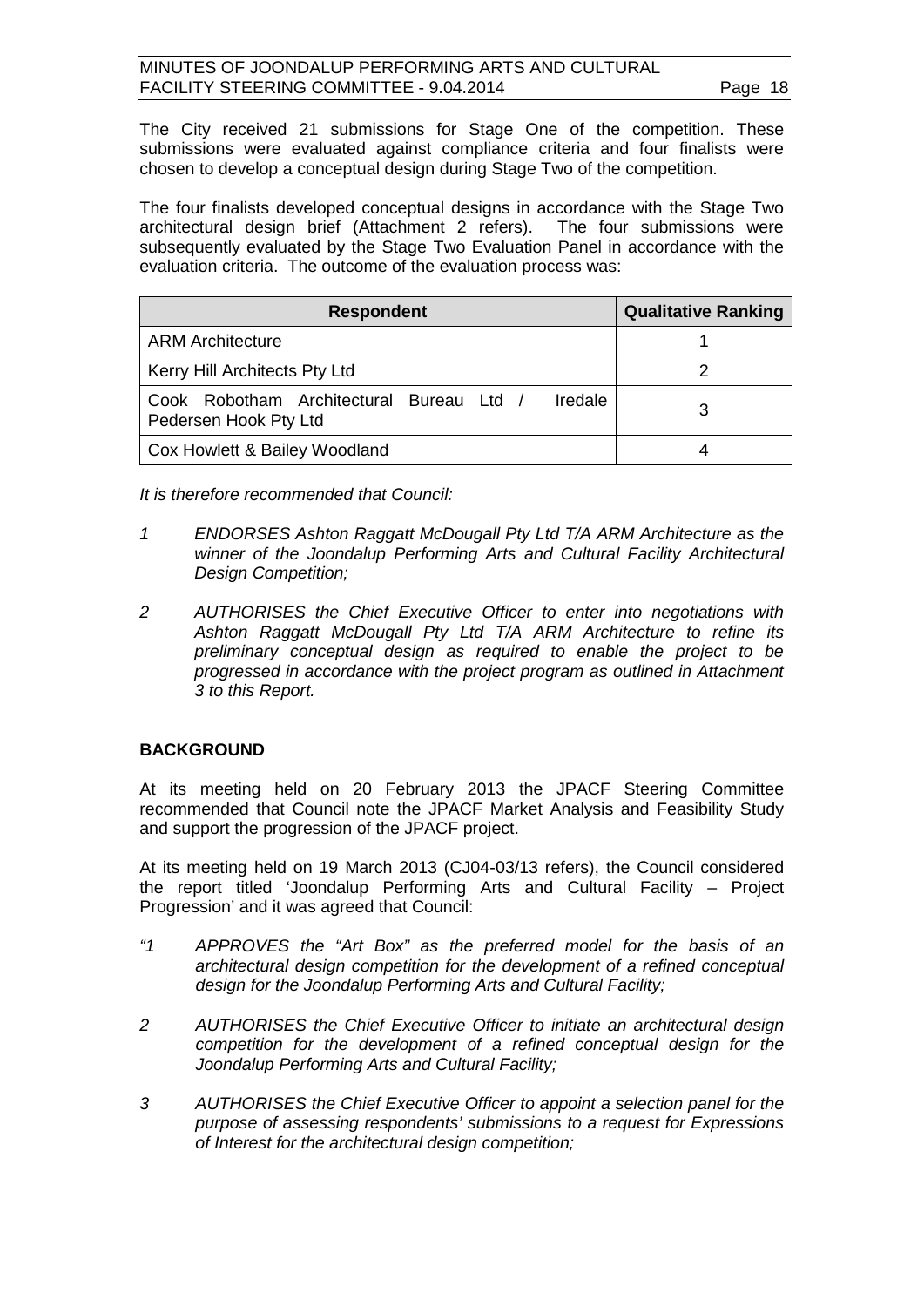The City received 21 submissions for Stage One of the competition. These submissions were evaluated against compliance criteria and four finalists were chosen to develop a conceptual design during Stage Two of the competition.

The four finalists developed conceptual designs in accordance with the Stage Two architectural design brief (Attachment 2 refers). The four submissions were subsequently evaluated by the Stage Two Evaluation Panel in accordance with the evaluation criteria. The outcome of the evaluation process was:

| <b>Respondent</b>                                                            | <b>Qualitative Ranking</b> |
|------------------------------------------------------------------------------|----------------------------|
| <b>ARM Architecture</b>                                                      |                            |
| Kerry Hill Architects Pty Ltd                                                |                            |
| Iredale<br>Cook Robotham Architectural Bureau Ltd /<br>Pedersen Hook Pty Ltd |                            |
| Cox Howlett & Bailey Woodland                                                |                            |

*It is therefore recommended that Council:* 

- *1 ENDORSES Ashton Raggatt McDougall Pty Ltd T/A ARM Architecture as the winner of the Joondalup Performing Arts and Cultural Facility Architectural Design Competition;*
- *2 AUTHORISES the Chief Executive Officer to enter into negotiations with Ashton Raggatt McDougall Pty Ltd T/A ARM Architecture to refine its preliminary conceptual design as required to enable the project to be progressed in accordance with the project program as outlined in Attachment 3 to this Report.*

### **BACKGROUND**

At its meeting held on 20 February 2013 the JPACF Steering Committee recommended that Council note the JPACF Market Analysis and Feasibility Study and support the progression of the JPACF project.

At its meeting held on 19 March 2013 (CJ04-03/13 refers), the Council considered the report titled 'Joondalup Performing Arts and Cultural Facility – Project Progression' and it was agreed that Council:

- *"1 APPROVES the "Art Box" as the preferred model for the basis of an architectural design competition for the development of a refined conceptual design for the Joondalup Performing Arts and Cultural Facility;*
- *2 AUTHORISES the Chief Executive Officer to initiate an architectural design competition for the development of a refined conceptual design for the Joondalup Performing Arts and Cultural Facility;*
- *3 AUTHORISES the Chief Executive Officer to appoint a selection panel for the purpose of assessing respondents' submissions to a request for Expressions of Interest for the architectural design competition;*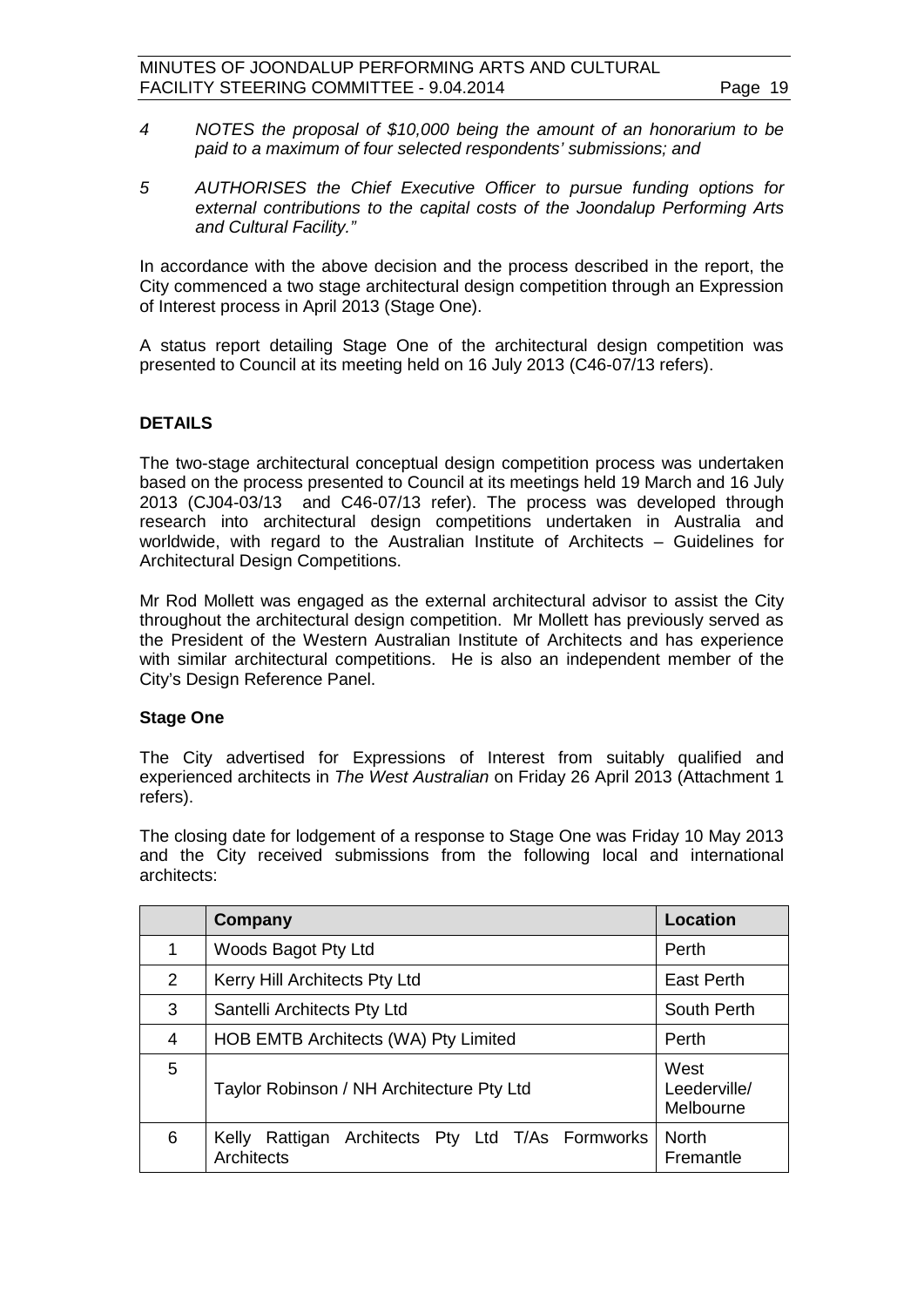- *4 NOTES the proposal of \$10,000 being the amount of an honorarium to be paid to a maximum of four selected respondents' submissions; and*
- *5 AUTHORISES the Chief Executive Officer to pursue funding options for external contributions to the capital costs of the Joondalup Performing Arts and Cultural Facility."*

In accordance with the above decision and the process described in the report, the City commenced a two stage architectural design competition through an Expression of Interest process in April 2013 (Stage One).

A status report detailing Stage One of the architectural design competition was presented to Council at its meeting held on 16 July 2013 (C46-07/13 refers).

#### **DETAILS**

The two-stage architectural conceptual design competition process was undertaken based on the process presented to Council at its meetings held 19 March and 16 July 2013 (CJ04-03/13 and C46-07/13 refer). The process was developed through research into architectural design competitions undertaken in Australia and worldwide, with regard to the Australian Institute of Architects – Guidelines for Architectural Design Competitions.

Mr Rod Mollett was engaged as the external architectural advisor to assist the City throughout the architectural design competition. Mr Mollett has previously served as the President of the Western Australian Institute of Architects and has experience with similar architectural competitions. He is also an independent member of the City's Design Reference Panel.

#### **Stage One**

The City advertised for Expressions of Interest from suitably qualified and experienced architects in *The West Australian* on Friday 26 April 2013 (Attachment 1 refers).

The closing date for lodgement of a response to Stage One was Friday 10 May 2013 and the City received submissions from the following local and international architects:

|                | Company                                                              | <b>Location</b>                   |
|----------------|----------------------------------------------------------------------|-----------------------------------|
| 1              | Woods Bagot Pty Ltd                                                  | Perth                             |
| $\overline{2}$ | Kerry Hill Architects Pty Ltd                                        | <b>East Perth</b>                 |
| 3              | Santelli Architects Pty Ltd                                          | South Perth                       |
| 4              | HOB EMTB Architects (WA) Pty Limited                                 | Perth                             |
| 5              | Taylor Robinson / NH Architecture Pty Ltd                            | West<br>Leederville/<br>Melbourne |
| 6              | Architects Pty Ltd T/As Formworks<br>Kelly<br>Rattigan<br>Architects | <b>North</b><br>Fremantle         |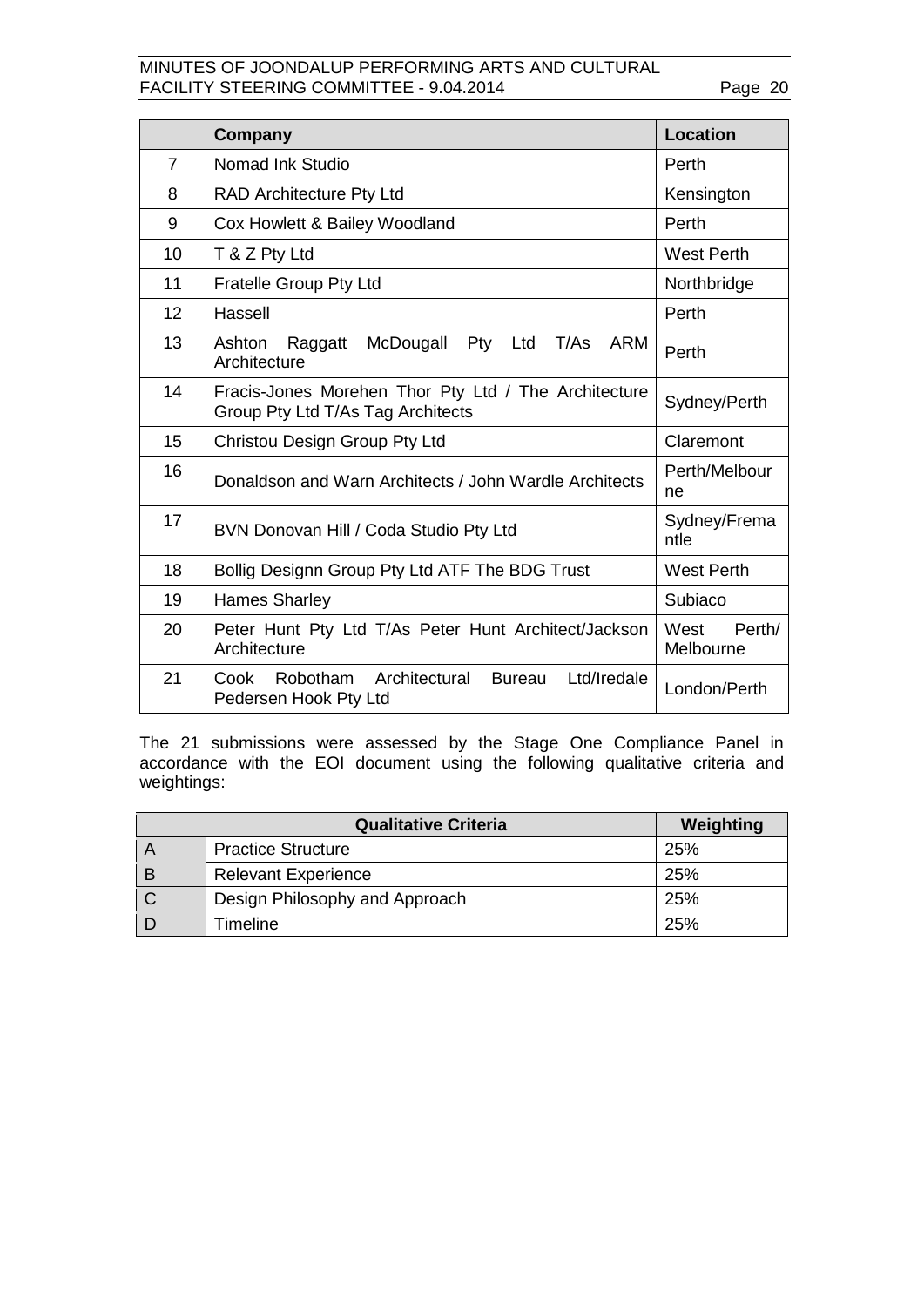|                | Company                                                                                   | <b>Location</b>             |
|----------------|-------------------------------------------------------------------------------------------|-----------------------------|
| $\overline{7}$ | Nomad Ink Studio                                                                          | Perth                       |
| 8              | <b>RAD Architecture Pty Ltd</b>                                                           | Kensington                  |
| 9              | Cox Howlett & Bailey Woodland                                                             | Perth                       |
| 10             | T & Z Pty Ltd                                                                             | <b>West Perth</b>           |
| 11             | <b>Fratelle Group Pty Ltd</b>                                                             | Northbridge                 |
| 12             | Hassell                                                                                   | Perth                       |
| 13             | T/As<br>Ashton<br>McDougall Pty Ltd<br><b>ARM</b><br>Raggatt<br>Architecture              | Perth                       |
| 14             | Fracis-Jones Morehen Thor Pty Ltd / The Architecture<br>Group Pty Ltd T/As Tag Architects | Sydney/Perth                |
| 15             | Christou Design Group Pty Ltd                                                             | Claremont                   |
| 16             | Donaldson and Warn Architects / John Wardle Architects                                    | Perth/Melbour<br>ne         |
| 17             | BVN Donovan Hill / Coda Studio Pty Ltd                                                    | Sydney/Frema<br>ntle        |
| 18             | Bollig Designn Group Pty Ltd ATF The BDG Trust                                            | <b>West Perth</b>           |
| 19             | <b>Hames Sharley</b>                                                                      | Subiaco                     |
| 20             | Peter Hunt Pty Ltd T/As Peter Hunt Architect/Jackson<br>Architecture                      | West<br>Perth/<br>Melbourne |
| 21             | Ltd/Iredale<br>Cook<br>Robotham Architectural<br><b>Bureau</b><br>Pedersen Hook Pty Ltd   | London/Perth                |

The 21 submissions were assessed by the Stage One Compliance Panel in accordance with the EOI document using the following qualitative criteria and weightings:

|                | <b>Qualitative Criteria</b>    | Weighting |
|----------------|--------------------------------|-----------|
| ΙA             | <b>Practice Structure</b>      | 25%       |
| $\overline{B}$ | <b>Relevant Experience</b>     | 25%       |
| l C            | Design Philosophy and Approach | 25%       |
|                | Timeline                       | 25%       |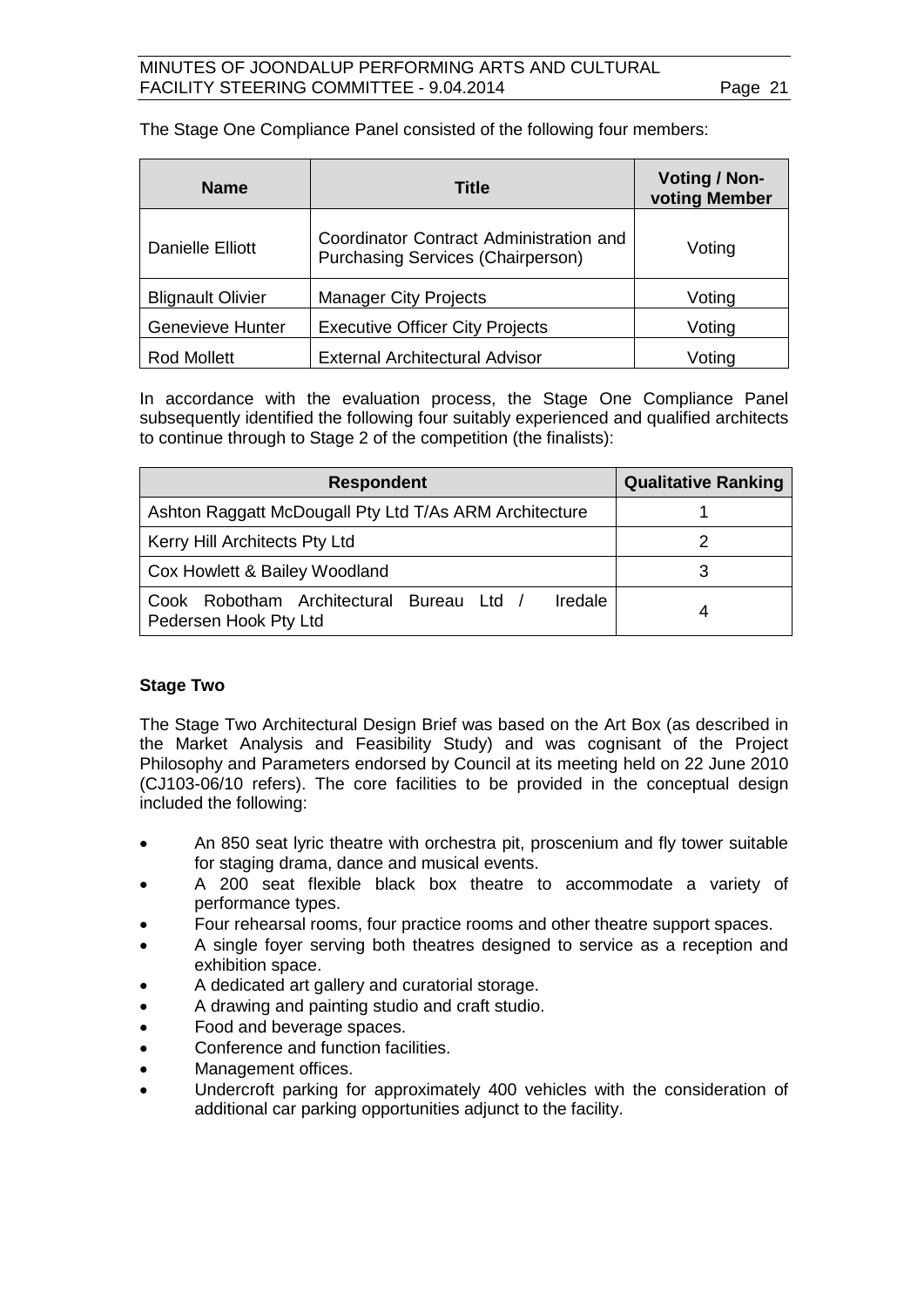The Stage One Compliance Panel consisted of the following four members:

| <b>Name</b>              | Title                                                                               | Voting / Non-<br>voting Member |
|--------------------------|-------------------------------------------------------------------------------------|--------------------------------|
| Danielle Elliott         | Coordinator Contract Administration and<br><b>Purchasing Services (Chairperson)</b> | Voting                         |
| <b>Blignault Olivier</b> | <b>Manager City Projects</b>                                                        | Voting                         |
| <b>Genevieve Hunter</b>  | <b>Executive Officer City Projects</b>                                              | Voting                         |
| <b>Rod Mollett</b>       | <b>External Architectural Advisor</b>                                               | Voting                         |

In accordance with the evaluation process, the Stage One Compliance Panel subsequently identified the following four suitably experienced and qualified architects to continue through to Stage 2 of the competition (the finalists):

| <b>Respondent</b>                                                                   | <b>Qualitative Ranking</b> |
|-------------------------------------------------------------------------------------|----------------------------|
| Ashton Raggatt McDougall Pty Ltd T/As ARM Architecture                              |                            |
| Kerry Hill Architects Pty Ltd                                                       |                            |
| Cox Howlett & Bailey Woodland                                                       |                            |
| Cook Robotham Architectural Bureau Ltd /<br><b>Iredale</b><br>Pedersen Hook Pty Ltd |                            |

#### **Stage Two**

The Stage Two Architectural Design Brief was based on the Art Box (as described in the Market Analysis and Feasibility Study) and was cognisant of the Project Philosophy and Parameters endorsed by Council at its meeting held on 22 June 2010 (CJ103-06/10 refers). The core facilities to be provided in the conceptual design included the following:

- An 850 seat lyric theatre with orchestra pit, proscenium and fly tower suitable for staging drama, dance and musical events.
- A 200 seat flexible black box theatre to accommodate a variety of performance types.
- Four rehearsal rooms, four practice rooms and other theatre support spaces.
- A single foyer serving both theatres designed to service as a reception and exhibition space.
- A dedicated art gallery and curatorial storage.
- A drawing and painting studio and craft studio.
- Food and beverage spaces.
- Conference and function facilities
- Management offices.
- Undercroft parking for approximately 400 vehicles with the consideration of additional car parking opportunities adjunct to the facility.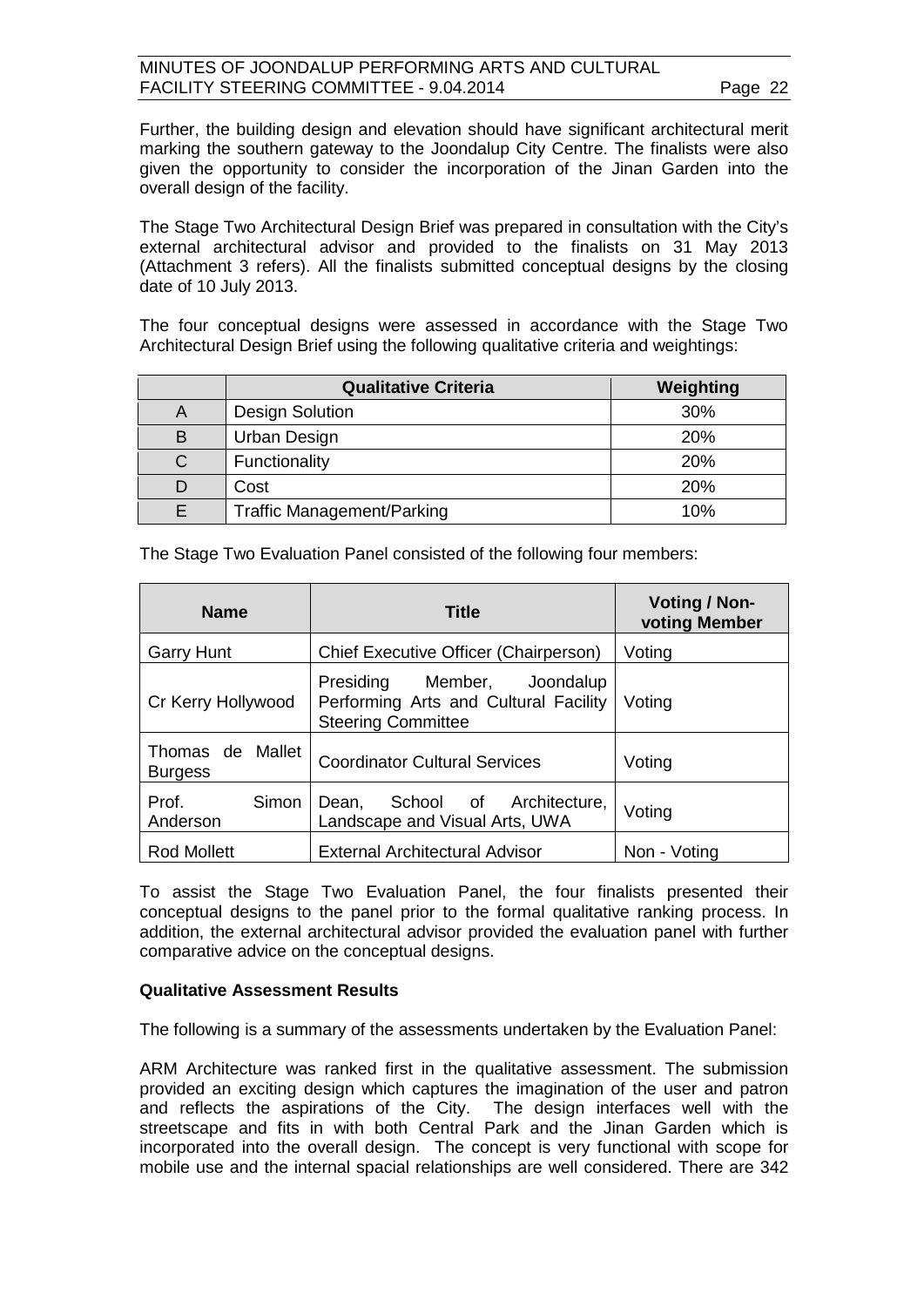Further, the building design and elevation should have significant architectural merit marking the southern gateway to the Joondalup City Centre. The finalists were also given the opportunity to consider the incorporation of the Jinan Garden into the overall design of the facility.

The Stage Two Architectural Design Brief was prepared in consultation with the City's external architectural advisor and provided to the finalists on 31 May 2013 (Attachment 3 refers). All the finalists submitted conceptual designs by the closing date of 10 July 2013.

The four conceptual designs were assessed in accordance with the Stage Two Architectural Design Brief using the following qualitative criteria and weightings:

|   | <b>Qualitative Criteria</b>       | Weighting |
|---|-----------------------------------|-----------|
| A | <b>Design Solution</b>            | 30%       |
| B | Urban Design                      | 20%       |
| C | Functionality                     | 20%       |
|   | Cost                              | 20%       |
|   | <b>Traffic Management/Parking</b> | 10%       |

The Stage Two Evaluation Panel consisted of the following four members:

| <b>Name</b>                        | <b>Title</b>                                                                                            | Voting / Non-<br>voting Member |
|------------------------------------|---------------------------------------------------------------------------------------------------------|--------------------------------|
| <b>Garry Hunt</b>                  | Chief Executive Officer (Chairperson)                                                                   | Voting                         |
| Cr Kerry Hollywood                 | Presiding<br>Member,<br>Joondalup<br>Performing Arts and Cultural Facility<br><b>Steering Committee</b> | Voting                         |
| Thomas de Mallet<br><b>Burgess</b> | <b>Coordinator Cultural Services</b>                                                                    | Voting                         |
| Prof.<br>Simon<br>Anderson         | School of Architecture,<br>Dean,<br>Landscape and Visual Arts, UWA                                      | Voting                         |
| <b>Rod Mollett</b>                 | <b>External Architectural Advisor</b>                                                                   | Non - Voting                   |

To assist the Stage Two Evaluation Panel, the four finalists presented their conceptual designs to the panel prior to the formal qualitative ranking process. In addition, the external architectural advisor provided the evaluation panel with further comparative advice on the conceptual designs.

#### **Qualitative Assessment Results**

The following is a summary of the assessments undertaken by the Evaluation Panel:

ARM Architecture was ranked first in the qualitative assessment. The submission provided an exciting design which captures the imagination of the user and patron and reflects the aspirations of the City. The design interfaces well with the streetscape and fits in with both Central Park and the Jinan Garden which is incorporated into the overall design. The concept is very functional with scope for mobile use and the internal spacial relationships are well considered. There are 342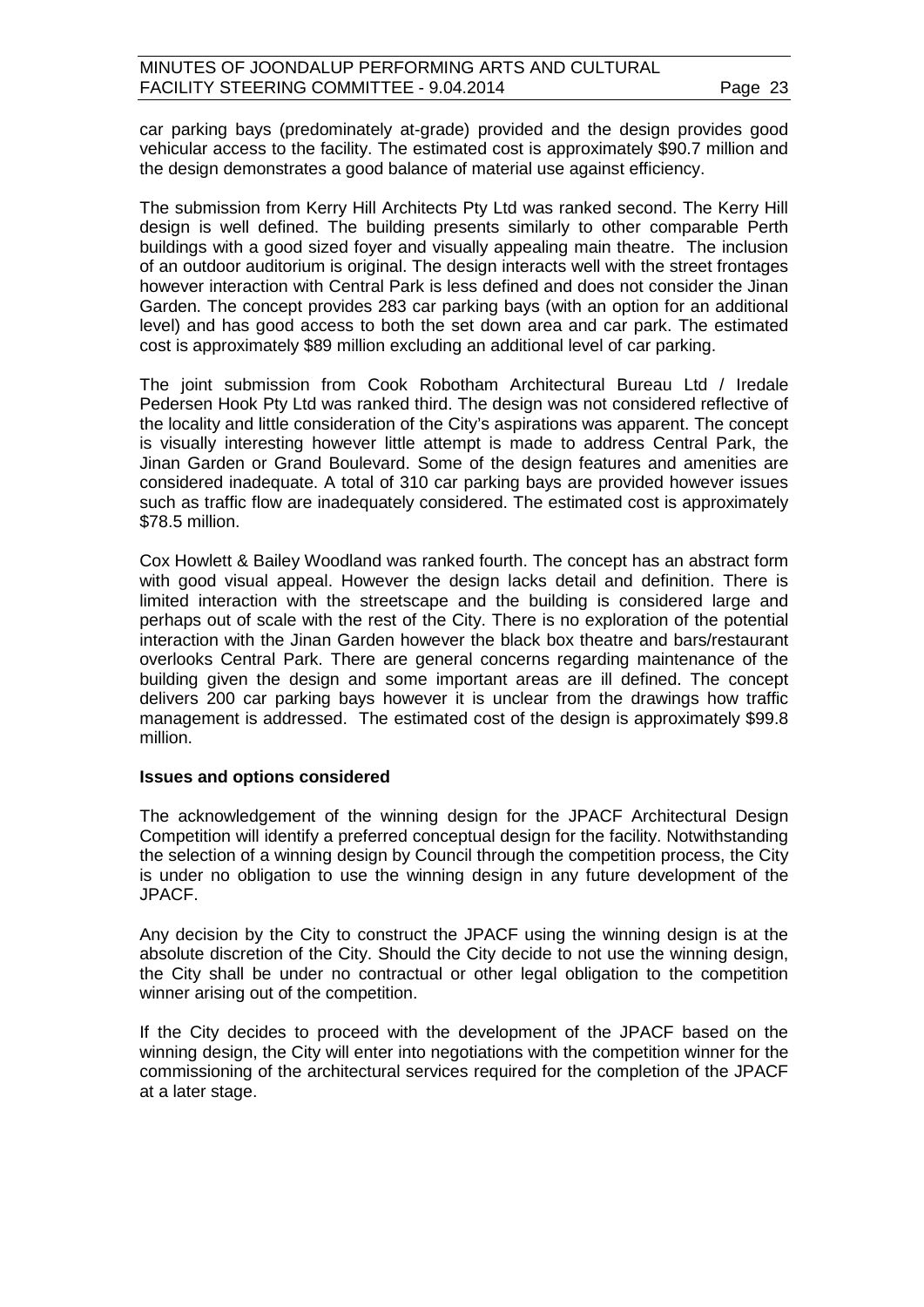car parking bays (predominately at-grade) provided and the design provides good vehicular access to the facility. The estimated cost is approximately \$90.7 million and the design demonstrates a good balance of material use against efficiency.

The submission from Kerry Hill Architects Pty Ltd was ranked second. The Kerry Hill design is well defined. The building presents similarly to other comparable Perth buildings with a good sized foyer and visually appealing main theatre. The inclusion of an outdoor auditorium is original. The design interacts well with the street frontages however interaction with Central Park is less defined and does not consider the Jinan Garden. The concept provides 283 car parking bays (with an option for an additional level) and has good access to both the set down area and car park. The estimated cost is approximately \$89 million excluding an additional level of car parking.

The joint submission from Cook Robotham Architectural Bureau Ltd / Iredale Pedersen Hook Pty Ltd was ranked third. The design was not considered reflective of the locality and little consideration of the City's aspirations was apparent. The concept is visually interesting however little attempt is made to address Central Park, the Jinan Garden or Grand Boulevard. Some of the design features and amenities are considered inadequate. A total of 310 car parking bays are provided however issues such as traffic flow are inadequately considered. The estimated cost is approximately \$78.5 million.

Cox Howlett & Bailey Woodland was ranked fourth. The concept has an abstract form with good visual appeal. However the design lacks detail and definition. There is limited interaction with the streetscape and the building is considered large and perhaps out of scale with the rest of the City. There is no exploration of the potential interaction with the Jinan Garden however the black box theatre and bars/restaurant overlooks Central Park. There are general concerns regarding maintenance of the building given the design and some important areas are ill defined. The concept delivers 200 car parking bays however it is unclear from the drawings how traffic management is addressed. The estimated cost of the design is approximately \$99.8 million.

#### **Issues and options considered**

The acknowledgement of the winning design for the JPACF Architectural Design Competition will identify a preferred conceptual design for the facility. Notwithstanding the selection of a winning design by Council through the competition process, the City is under no obligation to use the winning design in any future development of the JPACF.

Any decision by the City to construct the JPACF using the winning design is at the absolute discretion of the City. Should the City decide to not use the winning design, the City shall be under no contractual or other legal obligation to the competition winner arising out of the competition.

If the City decides to proceed with the development of the JPACF based on the winning design, the City will enter into negotiations with the competition winner for the commissioning of the architectural services required for the completion of the JPACF at a later stage.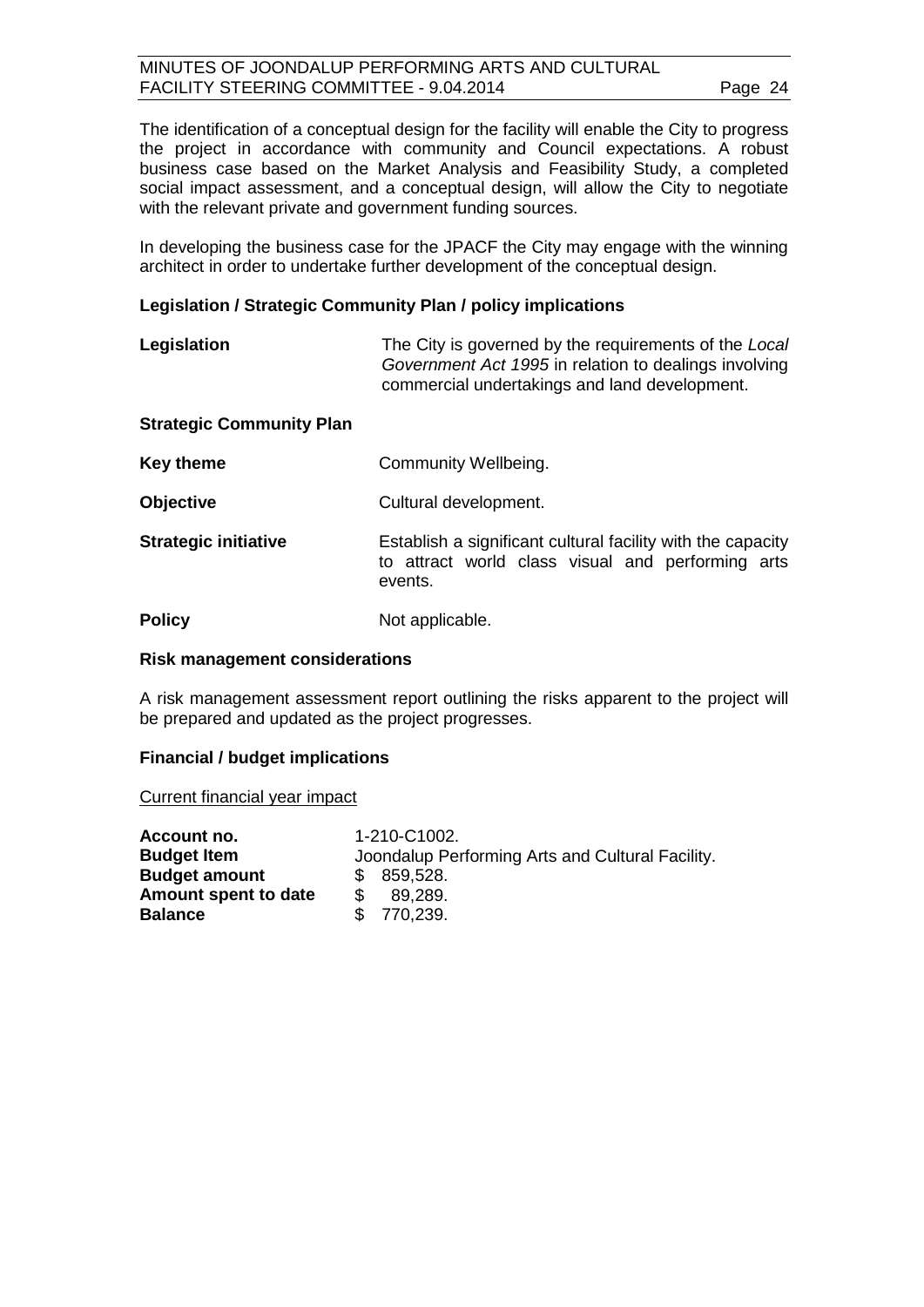The identification of a conceptual design for the facility will enable the City to progress the project in accordance with community and Council expectations. A robust business case based on the Market Analysis and Feasibility Study, a completed social impact assessment, and a conceptual design, will allow the City to negotiate with the relevant private and government funding sources.

In developing the business case for the JPACF the City may engage with the winning architect in order to undertake further development of the conceptual design.

#### **Legislation / Strategic Community Plan / policy implications**

| Legislation                     | The City is governed by the requirements of the Local<br>Government Act 1995 in relation to dealings involving<br>commercial undertakings and land development. |
|---------------------------------|-----------------------------------------------------------------------------------------------------------------------------------------------------------------|
| <b>Strategic Community Plan</b> |                                                                                                                                                                 |
| <b>Key theme</b>                | Community Wellbeing.                                                                                                                                            |
| <b>Objective</b>                | Cultural development.                                                                                                                                           |
| <b>Strategic initiative</b>     | Establish a significant cultural facility with the capacity<br>to attract world class visual and performing arts<br>events.                                     |
| <b>Policy</b>                   | Not applicable.                                                                                                                                                 |

#### **Risk management considerations**

A risk management assessment report outlining the risks apparent to the project will be prepared and updated as the project progresses.

#### **Financial / budget implications**

Current financial year impact

| Account no.          | 1-210-C1002.                                     |
|----------------------|--------------------------------------------------|
| <b>Budget Item</b>   | Joondalup Performing Arts and Cultural Facility. |
| <b>Budget amount</b> | \$859,528.                                       |
| Amount spent to date | 89.289.                                          |
| <b>Balance</b>       | \$770,239.                                       |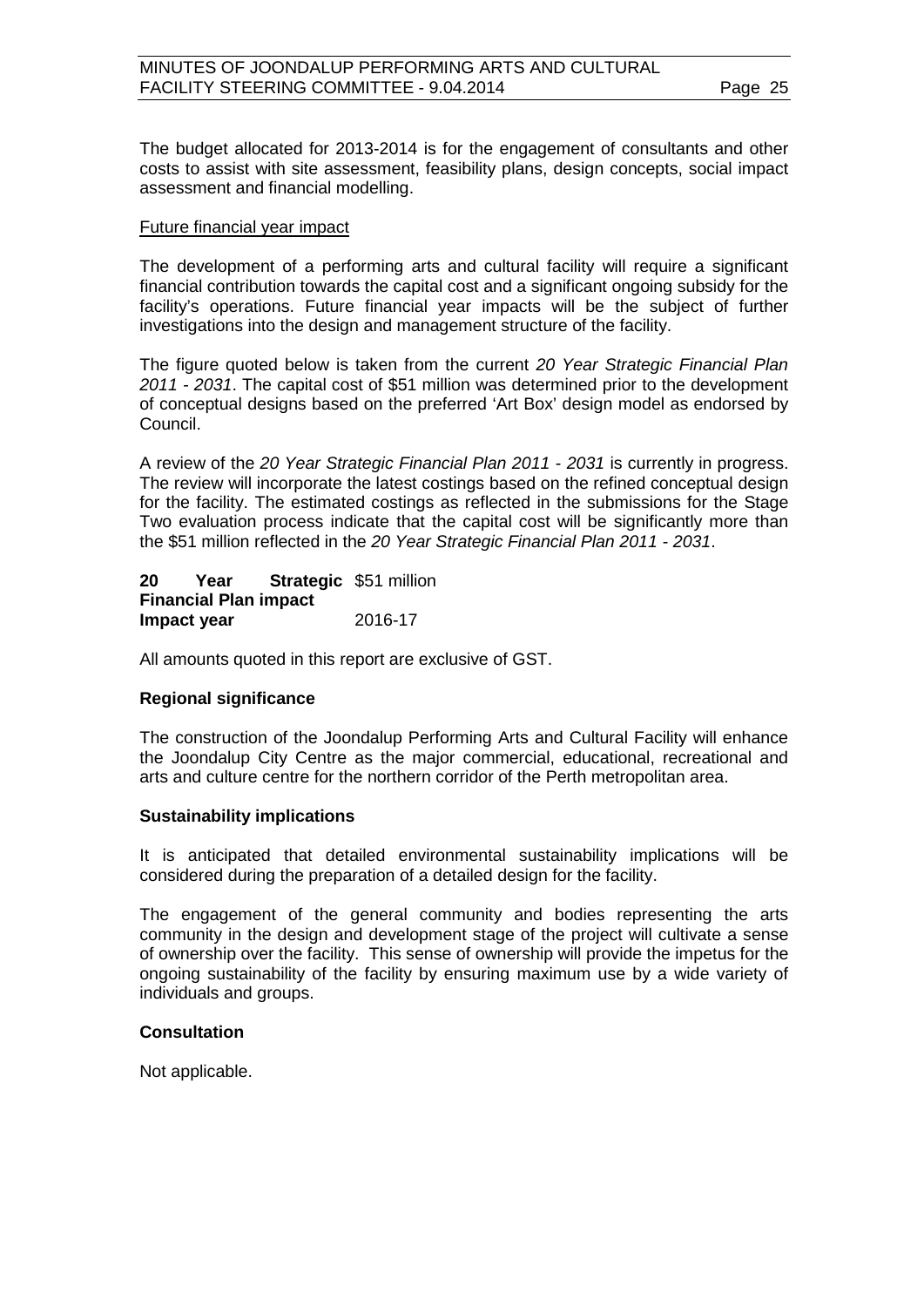The budget allocated for 2013-2014 is for the engagement of consultants and other costs to assist with site assessment, feasibility plans, design concepts, social impact assessment and financial modelling.

#### Future financial year impact

The development of a performing arts and cultural facility will require a significant financial contribution towards the capital cost and a significant ongoing subsidy for the facility's operations. Future financial year impacts will be the subject of further investigations into the design and management structure of the facility.

The figure quoted below is taken from the current *20 Year Strategic Financial Plan 2011 - 2031*. The capital cost of \$51 million was determined prior to the development of conceptual designs based on the preferred 'Art Box' design model as endorsed by Council.

A review of the *20 Year Strategic Financial Plan 2011 - 2031* is currently in progress. The review will incorporate the latest costings based on the refined conceptual design for the facility. The estimated costings as reflected in the submissions for the Stage Two evaluation process indicate that the capital cost will be significantly more than the \$51 million reflected in the *20 Year Strategic Financial Plan 2011 - 2031*.

**20 Year Strategic**  \$51 million **Financial Plan impact Impact year** 2016-17

All amounts quoted in this report are exclusive of GST.

#### **Regional significance**

The construction of the Joondalup Performing Arts and Cultural Facility will enhance the Joondalup City Centre as the major commercial, educational, recreational and arts and culture centre for the northern corridor of the Perth metropolitan area.

#### **Sustainability implications**

It is anticipated that detailed environmental sustainability implications will be considered during the preparation of a detailed design for the facility.

The engagement of the general community and bodies representing the arts community in the design and development stage of the project will cultivate a sense of ownership over the facility. This sense of ownership will provide the impetus for the ongoing sustainability of the facility by ensuring maximum use by a wide variety of individuals and groups.

#### **Consultation**

Not applicable.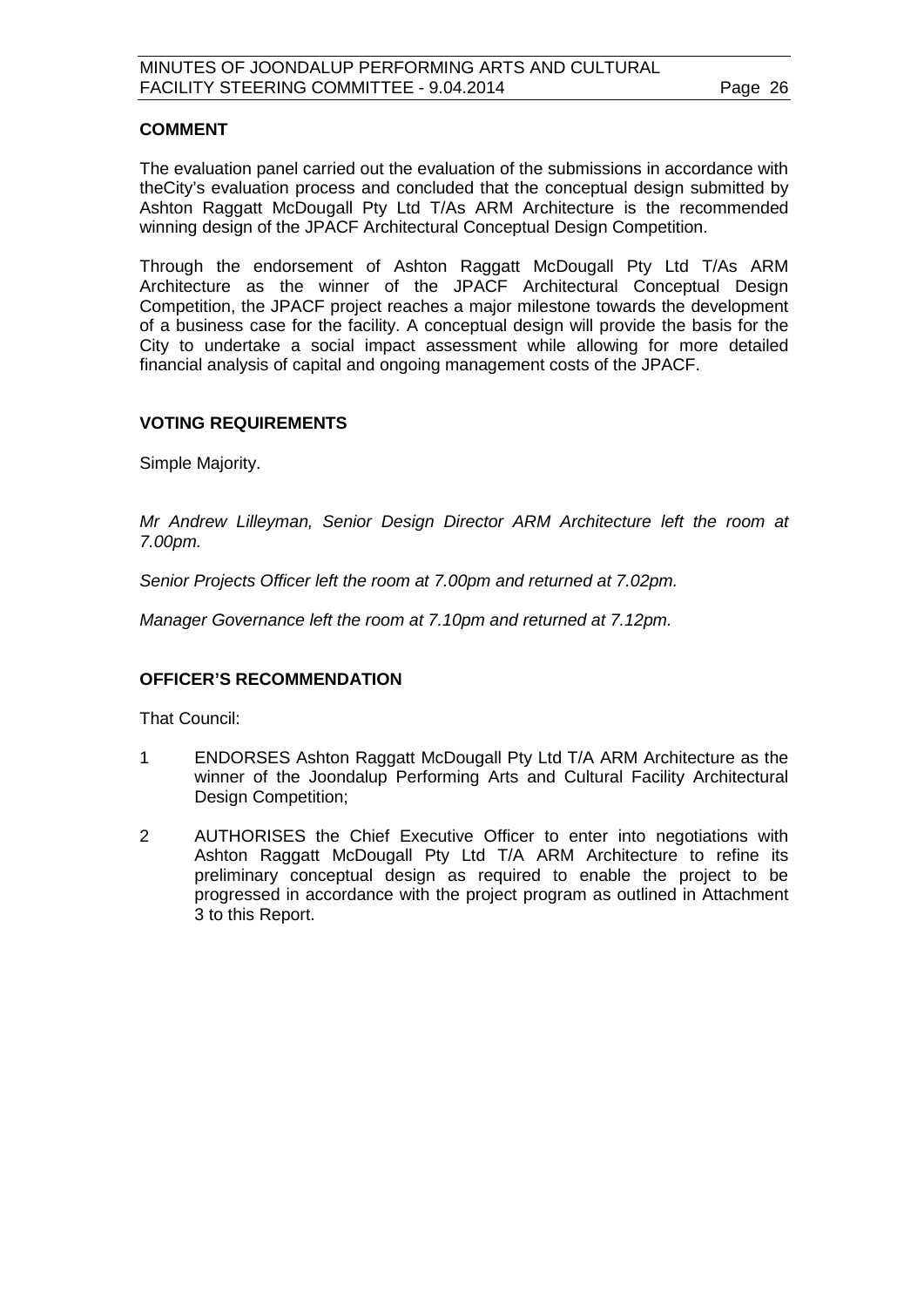#### **COMMENT**

The evaluation panel carried out the evaluation of the submissions in accordance with theCity's evaluation process and concluded that the conceptual design submitted by Ashton Raggatt McDougall Pty Ltd T/As ARM Architecture is the recommended winning design of the JPACF Architectural Conceptual Design Competition.

Through the endorsement of Ashton Raggatt McDougall Pty Ltd T/As ARM Architecture as the winner of the JPACF Architectural Conceptual Design Competition, the JPACF project reaches a major milestone towards the development of a business case for the facility. A conceptual design will provide the basis for the City to undertake a social impact assessment while allowing for more detailed financial analysis of capital and ongoing management costs of the JPACF.

#### **VOTING REQUIREMENTS**

Simple Majority.

*Mr Andrew Lilleyman, Senior Design Director ARM Architecture left the room at 7.00pm.*

*Senior Projects Officer left the room at 7.00pm and returned at 7.02pm.*

*Manager Governance left the room at 7.10pm and returned at 7.12pm.*

#### **OFFICER'S RECOMMENDATION**

That Council:

- 1 ENDORSES Ashton Raggatt McDougall Pty Ltd T/A ARM Architecture as the winner of the Joondalup Performing Arts and Cultural Facility Architectural Design Competition;
- 2 AUTHORISES the Chief Executive Officer to enter into negotiations with Ashton Raggatt McDougall Pty Ltd T/A ARM Architecture to refine its preliminary conceptual design as required to enable the project to be progressed in accordance with the project program as outlined in Attachment 3 to this Report.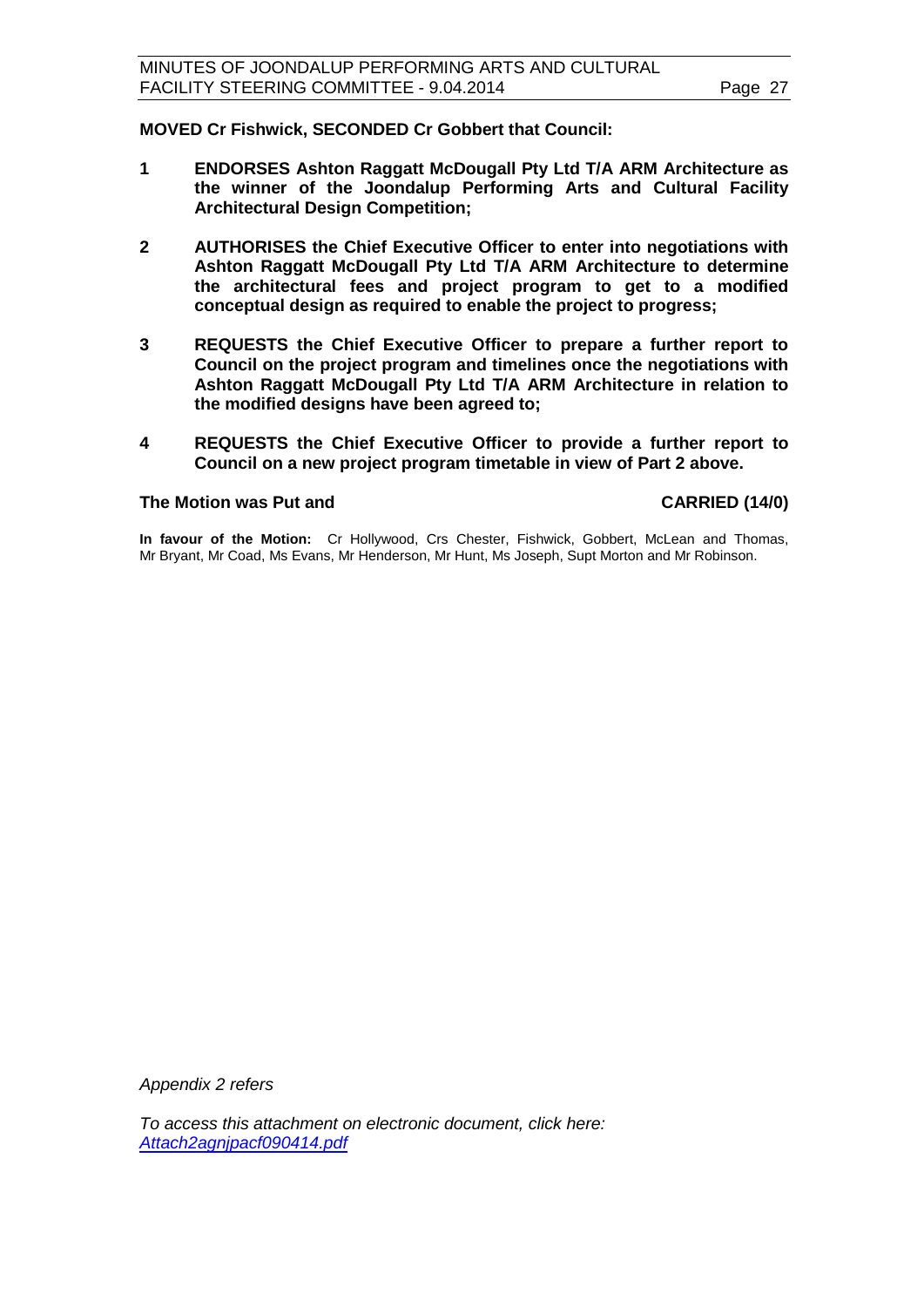**MOVED Cr Fishwick, SECONDED Cr Gobbert that Council:**

- **1 ENDORSES Ashton Raggatt McDougall Pty Ltd T/A ARM Architecture as the winner of the Joondalup Performing Arts and Cultural Facility Architectural Design Competition;**
- **2 AUTHORISES the Chief Executive Officer to enter into negotiations with Ashton Raggatt McDougall Pty Ltd T/A ARM Architecture to determine the architectural fees and project program to get to a modified conceptual design as required to enable the project to progress;**
- **3 REQUESTS the Chief Executive Officer to prepare a further report to Council on the project program and timelines once the negotiations with Ashton Raggatt McDougall Pty Ltd T/A ARM Architecture in relation to the modified designs have been agreed to;**
- **4 REQUESTS the Chief Executive Officer to provide a further report to Council on a new project program timetable in view of Part 2 above.**

#### **The Motion was Put and CARRIED (14/0)**

**In favour of the Motion:** Cr Hollywood, Crs Chester, Fishwick, Gobbert, McLean and Thomas, Mr Bryant, Mr Coad, Ms Evans, Mr Henderson, Mr Hunt, Ms Joseph, Supt Morton and Mr Robinson.

*Appendix 2 refers*